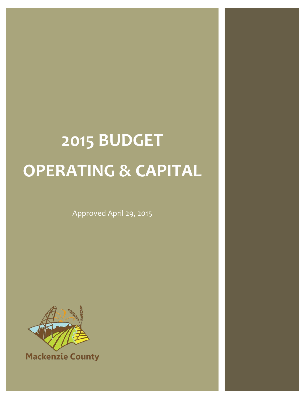# **2015 BUDGET OPERATING & CAPITAL**

Approved April 29, 2015



**Mackenzie County**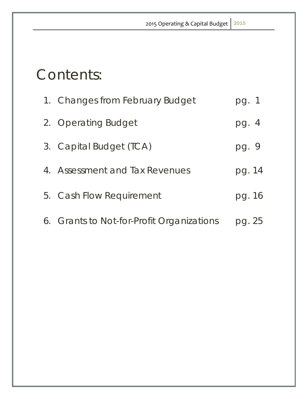## Contents:

| 1. Changes from February Budget           | pg. 1  |
|-------------------------------------------|--------|
| 2. Operating Budget                       | pg. 4  |
| 3. Capital Budget (TCA)                   | pg. 9  |
| 4. Assessment and Tax Revenues            | pg. 14 |
| 5. Cash Flow Requirement                  | pg. 16 |
| 6. Grants to Not-for-Profit Organizations | pg. 25 |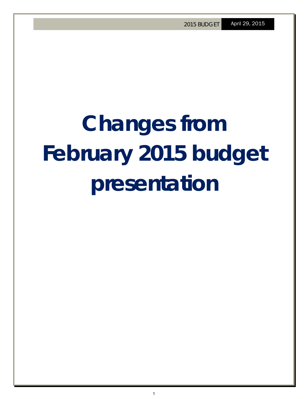# **Changes from February 2015 budget presentation**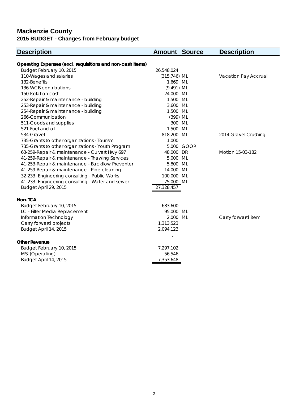### **Mackenzie County 2015 BUDGET - Changes from February budget**

| <b>Description</b>                                         | <b>Amount Source</b> |            | <b>Description</b>   |
|------------------------------------------------------------|----------------------|------------|----------------------|
| Operating Expenses (excl. requisitions and non-cash items) |                      |            |                      |
| Budget February 10, 2015                                   | 26,548,024           |            |                      |
| 110-Wages and salaries                                     | $(315, 746)$ ML      |            | Vacation Pay Accrual |
| 132-Benefits                                               | 1,669 ML             |            |                      |
| 136-WCB contributions                                      | $(9,491)$ ML         |            |                      |
| 150-Isolation cost                                         | 24,000 ML            |            |                      |
| 252-Repair & maintenance - building                        | 1,500 ML             |            |                      |
| 253-Repair & maintenance - building                        | 3,600 ML             |            |                      |
| 254-Repair & maintenance - building                        | 1,500 ML             |            |                      |
| 266-Communication                                          | (399) ML             |            |                      |
| 511-Goods and supplies                                     | 300 ML               |            |                      |
| 521-Fuel and oil                                           | 1,500 ML             |            |                      |
| 534-Gravel                                                 | 818,200 ML           |            | 2014 Gravel Crushing |
| 735-Grants to other organizations - Tourism                | 1,000                |            |                      |
| 735-Grants to other organizations - Youth Program          |                      | 5,000 GOOR |                      |
| 63-259-Repair & maintenance - Culvert Hwy 697              | 48,000               | DR         | Motion 15-03-182     |
| 41-259-Repair & maintenance - Thawing Services             | 5,000                | ML         |                      |
| 41-253-Repair & maintenance - Backflow Preventer           | 5,800 ML             |            |                      |
| 41-259-Repair & maintenance - Pipe cleaning                | 14,000 ML            |            |                      |
| 32-233- Engineering consulting - Public Works              | 100,000 ML           |            |                      |
| 41-233- Engineering consulting - Water and sewer           | 75,000 ML            |            |                      |
| Budget April 29, 2015                                      | 27,328,457           |            |                      |
| Non-TCA                                                    |                      |            |                      |
| Budget February 10, 2015                                   | 683,600              |            |                      |
| LC - Filter Media Replacement                              | 95,000 ML            |            |                      |
| Information Technology                                     | 2,000 ML             |            | Carry forward item   |
| Carry forward projects                                     | 1,313,523            |            |                      |
| Budget April 14, 2015                                      | 2,094,123            |            |                      |
| <b>Other Revenue</b>                                       |                      |            |                      |
| Budget February 10, 2015                                   | 7,297,102            |            |                      |
| MSI (Operating)                                            | 56,546               |            |                      |
| Budget April 14, 2015                                      | 7,353,648            |            |                      |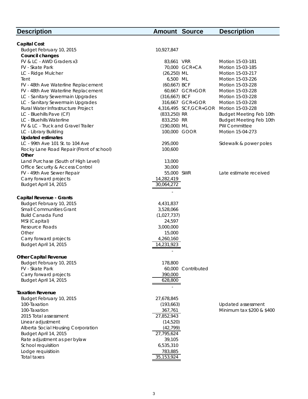| <b>Description</b>                       | <b>Amount Source</b> |                       | <b>Description</b>        |
|------------------------------------------|----------------------|-----------------------|---------------------------|
|                                          |                      |                       |                           |
| <b>Capital Cost</b>                      |                      |                       |                           |
| Budget February 10, 2015                 | 10,927,847           |                       |                           |
| Council changes                          |                      |                       |                           |
| FV & LC - AWD Graders x3                 | 83,661 VRR           |                       | Motion 15-03-181          |
| FV - Skate Park                          |                      | 70,000 GCR+CA         | Motion 15-03-185          |
| LC - Ridge Mulcher                       | $(26, 250)$ ML       |                       | Motion 15-03-217          |
| Tent                                     | 6,500 ML             |                       | Motion 15-03-226          |
| FV - 48th Ave Waterline Replacement      | (60,667) BCF         |                       | Motion 15-03-228          |
| FV - 48th Ave Waterline Replacement      |                      | 60,667 GCR+GOR        | Motion 15-03-228          |
| LC - Sanitary Sewermain Upgrades         | (316,667) BCF        |                       | Motion 15-03-228          |
| LC - Sanitary Sewermain Upgrades         |                      | 316,667 GCR+GOR       | Motion 15-03-228          |
| Rural Water Infrastructure Project       |                      | 4,316,495 SCF,GCR+GOR | Motion 15-03-228          |
| LC - Bluehills Pave (CF)                 | (833,250) RR         |                       | Budget Meeting Feb 10th   |
| LC - Bluehills Waterline                 | 833,250 RR           |                       | Budget Meeting Feb 10th   |
| FV & LC - Truck and Gravel Trailer       | (190,000) ML         |                       | PW Committee              |
| LC - Library Building                    | 100,000 GOOR         |                       | Motion 15-04-273          |
| <b>Updated estimates</b>                 |                      |                       |                           |
| LC - 99th Ave 101 St. to 104 Ave         | 295,000              |                       | Sidewalk & power poles    |
| Rocky Lane Road Repair (Front of school) | 100,600              |                       |                           |
| Other                                    |                      |                       |                           |
| Land Purchase (South of High Level)      | 13,000               |                       |                           |
| Office Security & Access Control         | 30,000               |                       |                           |
| FV - 49th Ave Sewer Repair               | 55,000 SWR           |                       | Late estimate received    |
| Carry forward projects                   | 14,282,419           |                       |                           |
| Budget April 14, 2015                    | 30,064,272           |                       |                           |
| Capital Revenue - Grants                 |                      |                       |                           |
| Budget February 10, 2015                 | 4,431,837            |                       |                           |
| <b>Small Communities Grant</b>           | 3,528,066            |                       |                           |
| <b>Build Canada Fund</b>                 | (1,027,737)          |                       |                           |
| MSI (Capital)                            | 24,597               |                       |                           |
| Resource Roads                           | 3,000,000            |                       |                           |
| Other                                    | 15,000               |                       |                           |
| Carry forward projects                   | 4,260,160            |                       |                           |
| Budget April 14, 2015                    | 14,231,923           |                       |                           |
|                                          |                      |                       |                           |
| <b>Other Capital Revenue</b>             |                      |                       |                           |
| Budget February 10, 2015                 | 178,800              |                       |                           |
| FV - Skate Park                          | 60,000               | Contributed           |                           |
| Carry forward projects                   | 390,000              |                       |                           |
| Budget April 14, 2015                    | 628,800              |                       |                           |
| <b>Taxation Revenue</b>                  |                      |                       |                           |
| Budget February 10, 2015                 | 27,678,845           |                       |                           |
| 100-Taxation                             | (193, 663)           |                       | Updated assessment        |
| 100-Taxation                             | 367,761              |                       | Minimum tax \$200 & \$400 |
| 2015 Total assessment                    | 27,852,943           |                       |                           |
| Linear adjustment                        | (14, 520)            |                       |                           |
| Alberta Social Housing Corporation       | (42, 799)            |                       |                           |
| Budget April 14, 2015                    | 27,795,624           |                       |                           |
| Rate adjustment as per bylaw             | 39,105               |                       |                           |
| School requisition                       | 6,535,310            |                       |                           |
| Lodge requisitioin                       | 783,885              |                       |                           |
| <b>Total taxes</b>                       | 35, 153, 924         |                       |                           |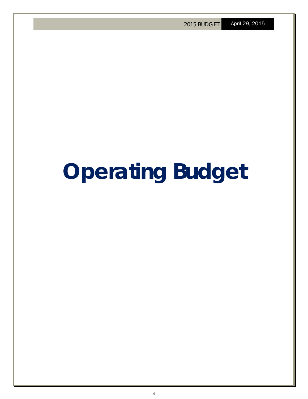# **Operating Budget**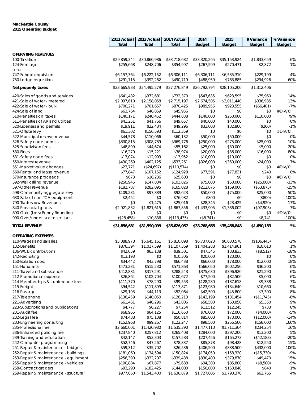#### **Mackenzie County 2015 Operating Budget**

|                                                             | 2012 Actual              | 2013 Actual              | 2014 Actual              | 2014                     | 2015                     | \$ Variance             | % Variance    |
|-------------------------------------------------------------|--------------------------|--------------------------|--------------------------|--------------------------|--------------------------|-------------------------|---------------|
|                                                             | Total                    | Total                    | Total                    | <b>Budget</b>            | <b>Budget</b>            | Budget                  | <b>Budget</b> |
| <b>OPERATING REVENUES</b>                                   |                          |                          |                          |                          |                          |                         |               |
| 100-Taxation                                                | \$29,859,344             | \$30,860,986             | \$33,718,682             | \$33,320,265             | \$35,153,924             | \$1,833,659             | 6%            |
| 124-Frontage                                                | \$255,668                | \$248,706                | \$354,997                | \$267,599                | \$270,471                | \$2,872                 | 1%            |
| Less:                                                       |                          |                          |                          |                          |                          |                         |               |
| 747-School requisition                                      | \$6,157,364              | \$6,222,152              | \$6,306,111              | \$6,306,111              | \$6,535,310              | \$229,199               | 4%            |
| 750-Lodge requisition                                       | \$291,715                | \$392,262                | \$490,719                | \$488,959                | \$783,885                | \$294,926               | 60%           |
| Net property taxes                                          | \$23,665,933             | \$24,495,279             | \$27,276,849             | \$26,792,794             | \$28,105,200             | \$1,312,406             |               |
|                                                             |                          |                          |                          |                          |                          |                         |               |
| 420-Sales of goods and services                             | \$641,482                | \$372,681                | \$732,370                | \$547,635                | \$623,595                | \$75,960                | 14%           |
| 421-Sale of water - metered<br>422-Sale of water - bulk     | \$2,097,610<br>\$700,271 | \$2,158,058<br>\$701,657 | \$2,715,197<br>\$870,425 | \$2,674,505<br>\$989,956 | \$3,011,440<br>\$923,555 | \$336,935<br>(\$66,401) | 13%<br>$-7%$  |
| 424-Sale of land                                            | \$63,764                 | \$46,859                 | \$45,956                 | \$0                      | \$0                      | \$0                     | #DIV/0!       |
| 510-Penalties on taxes                                      | \$140,171                | \$240,452                | \$444,838                | \$140,000                | \$250,000                | \$110,000               | 79%           |
| 511-Penalties of AR and utilities                           | \$41,251                 | \$41,766                 | \$49,657                 | \$40,000                 | \$40,000                 | \$0                     | 0%            |
| 520-Licenses and permits                                    | \$19,911                 | \$22,484                 | \$49,296                 | \$33,000                 | \$32,800                 | (\$200)                 | $-1%$         |
| 521-Offsite levy                                            | \$61,302                 | \$156,593                | \$112,359                | \$0                      | \$0                      | \$0                     | #DIV/0!       |
| 522-Municipal reserve revenue                               | \$44,578                 | \$110,066                | \$60,132                 | \$50,000                 | \$50,000                 | \$0                     | 0%            |
| 526-Safety code permits                                     | \$330,815                | \$308,789                | \$369,776                | \$250,000                | \$275,000                | \$25,000                | 10%           |
| 525-Subdivision fees                                        | \$48,899                 | \$44,674                 | \$55,162                 | \$25,000                 | \$30,000                 | \$5,000                 | 20%           |
| 530-Fines                                                   | \$16,270                 | \$15,221                 | \$38,974                 | \$20,000                 | \$36,000                 | \$16,000                | 80%           |
| 531-Safety code fees                                        | \$13,074                 | \$12,993                 | \$13,952                 | \$10,000                 | \$10,000                 | \$0                     | 0%            |
| 550-Interest revenue                                        | \$430,269                | \$402,125                | \$533,261                | \$326,000                | \$350,000                | \$24,000                | 7%            |
| 551-Market value changes                                    | \$23,771                 | (\$24,697)               | (\$110,574)              | \$0                      | \$0                      | \$0                     | #DIV/0!       |
| 560-Rental and lease revenue<br>570-Insurance proceeds      | \$77,847<br>\$673        | \$107,152                | \$124,928<br>\$25,603    | \$77,591                 | \$77,831                 | \$240<br>\$0            | 0%<br>#DIV/0! |
| 592-Well drilling revenue                                   | \$250,945                | \$16,236<br>\$147,804    | \$103,826                | \$0<br>\$75,000          | \$0<br>\$50,000          | (\$25,000)              | $-33%$        |
| 597-Other revenue                                           | \$182,787                | \$282,095                | \$165,028                | \$212,875                | \$159,000                | (\$53,875)              | $-25%$        |
| 598-Community aggregate levy                                | \$109,231                | \$97,889                 | \$92,623                 | \$50,000                 | \$75,000                 | \$25,000                | 50%           |
| 630-Sale of non-TCA equipment                               | \$2,454                  | \$0                      | \$76,982                 | \$800                    | \$0                      | (\$800)                 | $-100%$       |
| 790-Tradeshow Revenues                                      | \$0                      | \$1,475                  | \$25,016                 | \$28,345                 | \$23,425                 | (\$4,920)               | $-17%$        |
| 840-Provincial grants                                       | \$2,921,832              | \$1,821,615              | \$1,867,856              | \$1,433,905              | \$1,336,002              | (\$97,903)              | $-7%$         |
| 890-Gain (Loss) Penny Rounding                              | \$0                      | \$0                      | \$0                      | \$0                      | \$0                      | \$0                     | #DIV/0!       |
| 990-Over/under tax collections                              | (\$28,458)               | \$10,836                 | (\$113,435)              | (\$8,741)                | \$0                      | \$8,741                 | $-100%$       |
| <b>TOTAL REVENUE</b>                                        | \$31,856,681             | \$31,590,099             | \$35,626,057             | \$33,768,665             | \$35,458,848             | \$1,690,183             | 5%            |
| <b>OPERATING EXPENSES</b>                                   |                          |                          |                          |                          |                          |                         |               |
| 110-Wages and salaries                                      | \$5,088,978              | \$5,645,161              | \$5,810,098              | \$6,737,023              | \$6,630,578              | (\$106, 445)            | $-2%$         |
| 132-Benefits                                                | \$876,394                | \$1,017,599              | \$1,107,369              | \$1,404,288              | \$1,414,901              | \$10,613                | 1%            |
| 136-WCB contributions                                       | \$42,059                 | \$63,138                 | \$39,501                 | \$47,345                 | \$38,833                 | (\$8,512)               | $-18%$        |
| 142-Recruiting                                              | \$13,193                 | \$0                      | \$10,306                 | \$20,000                 | \$20,000                 | \$0                     | 0%            |
| 150-Isolation cost                                          | \$34,442                 | \$43,798                 | \$66,438                 | \$66,000                 | \$78,000                 | \$12,000                | 18%           |
| 151-Honoraria                                               | \$473,231                | \$515,230                | \$571,863                | \$566,050                | \$602,250                | \$36,200                | 6%            |
| 211-Travel and subsistence                                  | \$412,881                | \$317,291                | \$288,543                | \$375,630                | \$396,920                | \$21,290                | $6\%$         |
| 212-Promotional expense                                     | \$26,864                 | \$102,704                | \$100,672                | \$77,500                 | \$82,500                 | \$5,000                 | 6%            |
| 214-Memberships & conference fees                           | \$111,370                | \$78,290                 | \$99,553                 | \$128,280                | \$137,618                | \$9,338                 | 7%            |
| 215-Freight<br>216-Postage                                  | \$94,542<br>\$29,193     | \$111,899<br>\$44,113    | \$117,871<br>\$52,064    | \$123,980<br>\$42,500    | \$134,640<br>\$45,800    | \$10,660<br>\$3,300     | 9%<br>8%      |
| 217-Telephone                                               | \$136,459                | \$140,050                | \$128,213                | \$143,199                | \$131,454                | (\$11,745)              | $-8%$         |
| 221-Advertising                                             | \$61,461                 | \$40,296                 | \$43,806                 | \$58,500                 | \$63,850                 | \$5,350                 | 9%            |
| 223-Subscriptions and publications                          | \$4,777                  | \$6,227                  | \$7,254                  | \$11,512                 | \$12,245                 | \$733                   | 6%            |
| 231-Audit fee                                               | \$68,965                 | \$64,125                 | \$116,650                | \$76,000                 | \$72,000                 | (\$4,000)               | $-5%$         |
| 232-Legal fee                                               | \$74,488                 | \$75,108                 | \$50,814                 | \$85,000                 | \$73,000                 | (\$12,000)              | $-14%$        |
| 233-Engineering consulting                                  | \$152,968                | \$99,267                 | \$122,247                | \$98,500                 | \$256,500                | \$158,000               | 160%          |
| 235-Professional fee                                        | \$2,660,001              | \$1,420,980              | \$1,535,390              | \$1,477,110              | \$1,711,364              | \$234,254               | 16%           |
| 236-Enhanced policing fee                                   | \$237,840                | \$257,812                | \$265,408                | \$284,000                | \$297,200                | \$13,200                | 5%            |
| 239-Training and education                                  | \$42,147                 | \$53,303                 | \$157,583                | \$207,456                | \$165,273                | (\$42,183)              | $-20%$        |
| 242-Computer programming                                    | \$52,746                 | \$47,267                 | \$78,337                 | \$85,878                 | \$98,428                 | \$12,550                | 15%           |
| 251-Repair & maintenance - bridges                          | \$59,312                 | \$35,702                 | \$26,536                 | \$406,500                | \$838,500                | \$432,000               | 106%          |
| 252-Repair & maintenance - buildings                        | \$181,060                | \$134,594                | \$150,824                | \$174,050                | \$158,320                | (\$15,730)              | $-9%$         |
| 253-Repair & maintenance - equipment                        | \$256,390                | \$332,207                | \$339,438                | \$330,400                | \$379,870                | \$49,470                | 15%           |
| 255-Repair & maintenance - vehicles<br>258-Contract graders | \$100,884<br>\$93,290    | \$67,877<br>\$182,425    | \$79,638<br>\$144,000    | \$94,300<br>\$150,000    | \$85,800<br>\$150,840    | (\$8,500)<br>\$840      | $-9%$<br>1%   |
| 259-Repair & maintenance - structural                       | \$977,660                | \$1,543,400              | \$1,636,879              | \$1,727,605              | \$1,790,370              | \$62,765                | 4%            |
|                                                             |                          |                          |                          |                          |                          |                         |               |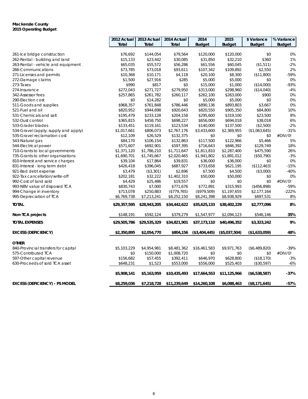#### **Mackenzie County 2015 Operating Budget**

|                                       | 2012 Actual  | 2013 Actual  | 2014 Actual  | 2014          | 2015          | \$ Variance   | % Variance    |
|---------------------------------------|--------------|--------------|--------------|---------------|---------------|---------------|---------------|
|                                       | <b>Total</b> | Total        | Total        | <b>Budget</b> | <b>Budget</b> | <b>Budget</b> | <b>Budget</b> |
|                                       |              |              |              |               |               |               |               |
| 261-Ice bridge construction           | \$76,692     | \$144,054    | \$79,564     | \$120,000     | \$120,000     | \$0           | 0%            |
| 262-Rental - building and land        | \$15,133     | \$23,442     | \$30,085     | \$31,850      | \$32,210      | \$360         | 1%            |
| 263-Rental - vehicle and equipment    | \$65,035     | \$55,572     | \$56,286     | \$61,556      | \$60,045      | (\$1,511)     | $-2%$         |
| 266-Communications                    | \$73,785     | \$73,018     | \$93,611     | \$107,342     | \$109,892     | \$2,550       | 2%            |
| 271-Licenses and permits              | \$10,368     | \$10,171     | \$4,118      | \$20,100      | \$8,300       | (\$11,800)    | $-59%$        |
| 272-Damage claims                     | \$1,500      | \$27,916     | \$285        | \$5,000       | \$5,000       | \$0           | 0%            |
| 273-Taxes                             | \$990        | \$817        | \$0          | \$15,000      | \$1,000       | (\$14,000)    | $-93%$        |
| 274-Insurance                         | \$272,043    | \$271,727    | \$279,950    | \$313,000     | \$298,960     | (\$14,040)    | $-4%$         |
| 342-Assessor fees                     | \$257,865    | \$261,782    | \$260,117    | \$262,100     | \$263,000     | \$900         | 0%            |
| 290-Election cost                     | \$0          | \$14,282     | \$0          | \$5,000       | \$5,000       | \$0           | 0%            |
| 511-Goods and supplies                | \$968,357    | \$761,848    | \$786,446    | \$890,136     | \$893,803     | \$3,667       | 0%            |
| 521-Fuel and oil                      | \$820,952    | \$944,698    | \$920,643    | \$820,550     | \$905,350     | \$84,800      | 10%           |
| 531-Chemicals and salt                | \$195,479    | \$233,128    | \$204,158    | \$295,600     | \$319,100     | \$23,500      | 8%            |
| 532-Dust control                      | \$365,815    | \$458,750    | \$698,227    | \$656,000     | \$694,018     | \$38,018      | 6%            |
| 533-Grader blades                     | \$133,451    | \$119,161    | \$123,534    | \$140,000     | \$137,500     | (\$2,500)     | $-2%$         |
| 534-Gravel (apply; supply and apply)  | \$1,017,661  | \$806,073    | \$2,767,176  | \$3,433,600   | \$2,369,955   | (\$1,063,645) | $-31%$        |
| 535-Gravel reclamation cost           | \$12,109     | \$26,529     | \$132,375    | \$0           | \$0           | \$0           | #DIV/0!       |
| 543-Natural gas                       | \$84,170     | \$106,154    | \$132,863    | \$117,500     | \$122,966     | \$5,466       | 5%            |
| 544-Electrical power                  | \$571,607    | \$692,901    | \$597,395    | \$716,643     | \$846,392     | \$129,749     | 18%           |
| 710-Grants to local governments       | \$1,371,120  | \$1,786,210  | \$1,711,647  | \$1,811,810   | \$2,287,400   | \$475,590     | 26%           |
| 735-Grants to other organizations     | \$1,690,701  | \$1,745,667  | \$2,020,465  | \$1,941,802   | \$1,891,012   | (\$50,790)    | $-3%$         |
| 810-Interest and service charges      | \$39,104     | \$17,864     | \$39,831     | \$36,000      | \$36,000      | \$0           | 0%            |
| 831-Interest - long term debt         | \$426,418    | \$396,045    | \$687,927    | \$733,658     | \$621,195     | (\$112,463)   | $-15%$        |
| 921-Bad debt expense                  | \$3,479      | (\$3,301)    | \$2,696      | \$7,500       | \$4,500       | (\$3,000)     | $-40%$        |
| 922-Tax cancellation/write-off        | \$202,181    | \$32,222     | \$1,402,310  | \$50,000      | \$50,000      | \$0           | 0%            |
| 992-Cost of land sold                 | \$4,429      | \$25,486     | \$19,557     | \$0           | \$0           | \$0           | #DIV/0!       |
| 993-NBV value of disposed TCA         | \$830,743    | \$7,000      | \$771,676    | \$772,891     | \$315,993     | (\$456,898)   | $-59%$        |
| 994-Change in inventory               | \$713,078    | \$250,883    | (\$779,765)  | (\$979,509)   | \$1,197,655   | \$2,177,164   | $-222%$       |
| 995-Depreciation of TCA               | \$6,769,738  | \$7,213,241  | \$8,252,150  | \$8,241,398   | \$8,938,929   | \$697,531     | 8%            |
| <b>TOTAL</b>                          | \$29,357,595 | \$28,943,205 | \$34,442,622 | \$35,625,133  | \$38,402,229  | \$2,777,096   | 8%            |
| Non-TCA projects                      | \$148,191    | \$592,124    | \$379,279    | \$1,547,977   | \$2,094,123   | \$546,146     | 35%           |
| <b>TOTAL EXPENSES</b>                 | \$29,505,786 | \$29,535,329 | \$34,821,901 | \$37,173,110  | \$40,496,352  | \$3,323,242   | 9%            |
| <b>EXCESS (DEFICIENCY)</b>            | \$2,350,895  | \$2,054,770  | \$804,156    | (\$3,404,445) | (\$5,037,504) | (\$1,633,059) | 48%           |
| <b>OTHER</b>                          |              |              |              |               |               |               |               |
| 840-Provincial transfers for capital  | \$5,103,229  | \$4,954,981  | \$8,481,362  | \$16,461,583  | \$9,971,763   | (\$6,489,820) | $-39%$        |
| 575-Contributed TCA                   | \$0          | \$150,000    | \$1,008,720  | \$0           | \$0           | \$0           | #DIV/0!       |
| 597-Other capital revenue             | \$156,682    | \$57,455     | \$392,411    | \$646,970     | \$628,800     | (\$18,170)    | $-3%$         |
| 630-Proceeds of sold TCA asset        | \$648,231    | \$1,523      | \$553,000    | \$556,000     | \$525,403     | (\$30,597)    | $-6%$         |
|                                       |              |              |              |               |               |               |               |
|                                       | \$5,908,141  | \$5,163,959  | \$10,435,493 | \$17,664,553  | \$11,125,966  | (\$6,538,587) | $-37%$        |
| <b>EXCESS (DEFICIENCY) - PS MODEL</b> | \$8,259,036  | \$7,218,728  | \$11,239,649 | \$14,260,108  | \$6,088,463   | (\$8,171,645) | $-57%$        |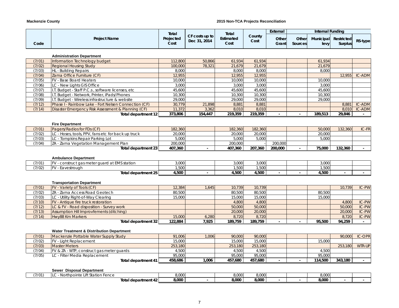#### **Mackenzie County 2015 Non-TCA Projects Reconciliation**

| CF costs up to<br>County<br>Projected<br><b>Project Name</b><br>Estimated<br>Other<br>Other<br>Municipal<br>Restricted<br>Dec 31, 2014<br>Cost<br>RS-type<br>Cost<br><b>Surplus</b><br>Cost<br>Grant<br><b>Sources</b><br>levy<br>Code<br><b>Administration Department</b><br>112,800<br>50,866<br>61,934<br>(7/01)<br>Information Technology budget<br>61,934<br>61,934<br><b>Regional Housing Study</b><br>100,000<br>78,321<br>21,679<br>21,679<br>21,679<br>(7/02)<br>HL - Building Repairs<br>8,000<br>8,000<br>(7/03)<br>8,000<br>8,000<br>Zama Office Furniture (CF)<br>12,955<br>12,955<br>12,955<br>12,955<br>IC-ADM<br>(7/04)<br>FV - Base Board Heaters<br>10,000<br>(7/05)<br>10,000<br>10,000<br>10,000<br>3,000<br>3,000<br>3,000<br>3,000<br>(7/06)<br>LC - New Lights GIS Office<br>(7/07)<br>I.T. Budget - Staff P.C.s, software licenses, etc.<br>45,600<br>45,600<br>45,600<br>45,600<br>I.T. Budget - Network, Printer, iPads/Phones<br>10,300<br>10,300<br>10,300<br>10,300<br>(7/08)<br>I.T. Budget - Wireless infrastructure & website<br>29,000<br>29,000<br>29,000<br>29,000<br>(7/09)<br>(7/12)<br>Phase I - Rainbow Lake - Fort Nelsen Connection (CF)<br>30,779<br>21,898<br>8,881<br>8,881<br><b>IC-ADM</b><br>8,881<br>Disaster Emergency Risk Assessment & Planning (CF)<br>11,372<br>3,362<br>8,010<br>8,010<br>8,010<br>(7/14)<br>373,806<br>154,447<br>219,359<br>219,359<br>189,513<br>29.846<br><b>Total department 12</b><br><b>Fire Department</b><br>Pagers/Radios for FDs (CF)<br>IC-FR<br>(7/01)<br>182,360<br>182,360<br>182,360<br>50,000<br>132,360<br>LC - Hoses, tools, PPV, fans etc for back up truck<br>(7/02)<br>20,000<br>20,000<br>20,000<br>20,000<br>LC - Tompkins Repair Parking Lot<br>5.000<br>5.000<br>(7/03)<br>5,000<br>5.000<br>200,000<br>(7/04)<br>ZA - Zama Vegetation Management Plan<br>200,000<br>200,000<br>207,360<br>407,360<br>407,360<br>200,000<br>75,000<br>132,360<br>Total department 23<br>$\overline{a}$<br><b>Ambulance Department</b><br>3,000<br>3,000<br>(7/01)<br>FV - construct gas meter guard at EMS station<br>3,000<br>3,000<br>FV - Eavestrough<br>1,500<br>1,500<br>1,500<br>1,500<br>(7/02)<br>4,500<br>4.500<br>4,500<br>4,500<br>Total department 25<br>$\sim$<br><b>Transportation Department</b><br>(7/01)<br>FV - Variety of Tools (CF)<br>12,384<br>1,645<br>10,739<br>10,739<br>10,739<br>ZA - Zama Access Road Geotech<br>80,500<br>80,500<br>80,500<br>(7/02)<br>80,500<br>15,000<br>(7/03)<br>LC - Utility Right-of-Way Clearing<br>15,000<br>15,000<br>15,000<br>IC-PW<br>(7/10)<br>FV - Antique fire truck restoration<br>4,800<br>4,800<br>4,800<br>LC & FV - Road disposition - Survey work<br>50,000<br>IC-PW<br>50,000<br>50,000<br>(7/12)<br><b>Assumption Hill Improvfements (ditching)</b><br>IC-PW<br>(7/13)<br>20,000<br>20,000<br>20,000<br>(7/14)<br>Hwy88 Km Markers<br>15,000<br>6,280<br>8,720<br>8,720<br>8,720<br>122,884<br>7,925<br>189,759<br>189,759<br>95,500<br>94,259<br>Total department 32<br><b>Water Treatment &amp; Distribution Department</b><br>(7/01)<br>Mackenzie Pottable Water Supply Study<br>91,006<br>90,000<br>90,000<br>90,000<br><b>IC-OPR</b><br>1,006<br>FV - Light Replacement<br>15,000<br>15,000<br>15,000<br>15,000<br>(7/02)<br><b>Master Meters</b><br>253,180<br>253,180<br>253,180<br>253,180<br>WTR-UP<br>(7/03)<br>FV & ZA - WTP, construct gas meter guards<br>(7/04)<br>4,500<br>4.500<br>4,500<br>4,500<br>95,000<br>95,000<br>95,000<br>95,000<br>(7/05)<br>LC - Filter Media Replacement<br>1.006<br>343,180<br>458,686<br>457.680<br>457,680<br>114,500<br>Total department 41<br>Sewer Disposal Department<br>LC - Northpointe Lift Station Fence<br>(7/01)<br>8,000<br>8,000<br>8,000<br>8,000<br>8,000<br>8,000<br>8,000<br>8.000<br>Total department 42<br>$\sim$ |  | Total | Total | External | <b>Internal Funding</b> |  |       |
|-----------------------------------------------------------------------------------------------------------------------------------------------------------------------------------------------------------------------------------------------------------------------------------------------------------------------------------------------------------------------------------------------------------------------------------------------------------------------------------------------------------------------------------------------------------------------------------------------------------------------------------------------------------------------------------------------------------------------------------------------------------------------------------------------------------------------------------------------------------------------------------------------------------------------------------------------------------------------------------------------------------------------------------------------------------------------------------------------------------------------------------------------------------------------------------------------------------------------------------------------------------------------------------------------------------------------------------------------------------------------------------------------------------------------------------------------------------------------------------------------------------------------------------------------------------------------------------------------------------------------------------------------------------------------------------------------------------------------------------------------------------------------------------------------------------------------------------------------------------------------------------------------------------------------------------------------------------------------------------------------------------------------------------------------------------------------------------------------------------------------------------------------------------------------------------------------------------------------------------------------------------------------------------------------------------------------------------------------------------------------------------------------------------------------------------------------------------------------------------------------------------------------------------------------------------------------------------------------------------------------------------------------------------------------------------------------------------------------------------------------------------------------------------------------------------------------------------------------------------------------------------------------------------------------------------------------------------------------------------------------------------------------------------------------------------------------------------------------------------------------------------------------------------------------------------------------------------------------------------------------------------------------------------------------------------------------------------------------------------------------------------------------------------------------------------------------------------------------------------------------------------------------------------------------------------------------------------------------------------------------------------------------------------------------------------------------------------------------------------------------------------------------------------------------------------------------------------------|--|-------|-------|----------|-------------------------|--|-------|
|                                                                                                                                                                                                                                                                                                                                                                                                                                                                                                                                                                                                                                                                                                                                                                                                                                                                                                                                                                                                                                                                                                                                                                                                                                                                                                                                                                                                                                                                                                                                                                                                                                                                                                                                                                                                                                                                                                                                                                                                                                                                                                                                                                                                                                                                                                                                                                                                                                                                                                                                                                                                                                                                                                                                                                                                                                                                                                                                                                                                                                                                                                                                                                                                                                                                                                                                                                                                                                                                                                                                                                                                                                                                                                                                                                                                                                         |  |       |       |          |                         |  |       |
| IC-ADM<br>IC-PW                                                                                                                                                                                                                                                                                                                                                                                                                                                                                                                                                                                                                                                                                                                                                                                                                                                                                                                                                                                                                                                                                                                                                                                                                                                                                                                                                                                                                                                                                                                                                                                                                                                                                                                                                                                                                                                                                                                                                                                                                                                                                                                                                                                                                                                                                                                                                                                                                                                                                                                                                                                                                                                                                                                                                                                                                                                                                                                                                                                                                                                                                                                                                                                                                                                                                                                                                                                                                                                                                                                                                                                                                                                                                                                                                                                                                         |  |       |       |          |                         |  |       |
|                                                                                                                                                                                                                                                                                                                                                                                                                                                                                                                                                                                                                                                                                                                                                                                                                                                                                                                                                                                                                                                                                                                                                                                                                                                                                                                                                                                                                                                                                                                                                                                                                                                                                                                                                                                                                                                                                                                                                                                                                                                                                                                                                                                                                                                                                                                                                                                                                                                                                                                                                                                                                                                                                                                                                                                                                                                                                                                                                                                                                                                                                                                                                                                                                                                                                                                                                                                                                                                                                                                                                                                                                                                                                                                                                                                                                                         |  |       |       |          |                         |  |       |
|                                                                                                                                                                                                                                                                                                                                                                                                                                                                                                                                                                                                                                                                                                                                                                                                                                                                                                                                                                                                                                                                                                                                                                                                                                                                                                                                                                                                                                                                                                                                                                                                                                                                                                                                                                                                                                                                                                                                                                                                                                                                                                                                                                                                                                                                                                                                                                                                                                                                                                                                                                                                                                                                                                                                                                                                                                                                                                                                                                                                                                                                                                                                                                                                                                                                                                                                                                                                                                                                                                                                                                                                                                                                                                                                                                                                                                         |  |       |       |          |                         |  |       |
|                                                                                                                                                                                                                                                                                                                                                                                                                                                                                                                                                                                                                                                                                                                                                                                                                                                                                                                                                                                                                                                                                                                                                                                                                                                                                                                                                                                                                                                                                                                                                                                                                                                                                                                                                                                                                                                                                                                                                                                                                                                                                                                                                                                                                                                                                                                                                                                                                                                                                                                                                                                                                                                                                                                                                                                                                                                                                                                                                                                                                                                                                                                                                                                                                                                                                                                                                                                                                                                                                                                                                                                                                                                                                                                                                                                                                                         |  |       |       |          |                         |  |       |
|                                                                                                                                                                                                                                                                                                                                                                                                                                                                                                                                                                                                                                                                                                                                                                                                                                                                                                                                                                                                                                                                                                                                                                                                                                                                                                                                                                                                                                                                                                                                                                                                                                                                                                                                                                                                                                                                                                                                                                                                                                                                                                                                                                                                                                                                                                                                                                                                                                                                                                                                                                                                                                                                                                                                                                                                                                                                                                                                                                                                                                                                                                                                                                                                                                                                                                                                                                                                                                                                                                                                                                                                                                                                                                                                                                                                                                         |  |       |       |          |                         |  |       |
|                                                                                                                                                                                                                                                                                                                                                                                                                                                                                                                                                                                                                                                                                                                                                                                                                                                                                                                                                                                                                                                                                                                                                                                                                                                                                                                                                                                                                                                                                                                                                                                                                                                                                                                                                                                                                                                                                                                                                                                                                                                                                                                                                                                                                                                                                                                                                                                                                                                                                                                                                                                                                                                                                                                                                                                                                                                                                                                                                                                                                                                                                                                                                                                                                                                                                                                                                                                                                                                                                                                                                                                                                                                                                                                                                                                                                                         |  |       |       |          |                         |  |       |
|                                                                                                                                                                                                                                                                                                                                                                                                                                                                                                                                                                                                                                                                                                                                                                                                                                                                                                                                                                                                                                                                                                                                                                                                                                                                                                                                                                                                                                                                                                                                                                                                                                                                                                                                                                                                                                                                                                                                                                                                                                                                                                                                                                                                                                                                                                                                                                                                                                                                                                                                                                                                                                                                                                                                                                                                                                                                                                                                                                                                                                                                                                                                                                                                                                                                                                                                                                                                                                                                                                                                                                                                                                                                                                                                                                                                                                         |  |       |       |          |                         |  |       |
|                                                                                                                                                                                                                                                                                                                                                                                                                                                                                                                                                                                                                                                                                                                                                                                                                                                                                                                                                                                                                                                                                                                                                                                                                                                                                                                                                                                                                                                                                                                                                                                                                                                                                                                                                                                                                                                                                                                                                                                                                                                                                                                                                                                                                                                                                                                                                                                                                                                                                                                                                                                                                                                                                                                                                                                                                                                                                                                                                                                                                                                                                                                                                                                                                                                                                                                                                                                                                                                                                                                                                                                                                                                                                                                                                                                                                                         |  |       |       |          |                         |  |       |
|                                                                                                                                                                                                                                                                                                                                                                                                                                                                                                                                                                                                                                                                                                                                                                                                                                                                                                                                                                                                                                                                                                                                                                                                                                                                                                                                                                                                                                                                                                                                                                                                                                                                                                                                                                                                                                                                                                                                                                                                                                                                                                                                                                                                                                                                                                                                                                                                                                                                                                                                                                                                                                                                                                                                                                                                                                                                                                                                                                                                                                                                                                                                                                                                                                                                                                                                                                                                                                                                                                                                                                                                                                                                                                                                                                                                                                         |  |       |       |          |                         |  |       |
|                                                                                                                                                                                                                                                                                                                                                                                                                                                                                                                                                                                                                                                                                                                                                                                                                                                                                                                                                                                                                                                                                                                                                                                                                                                                                                                                                                                                                                                                                                                                                                                                                                                                                                                                                                                                                                                                                                                                                                                                                                                                                                                                                                                                                                                                                                                                                                                                                                                                                                                                                                                                                                                                                                                                                                                                                                                                                                                                                                                                                                                                                                                                                                                                                                                                                                                                                                                                                                                                                                                                                                                                                                                                                                                                                                                                                                         |  |       |       |          |                         |  |       |
|                                                                                                                                                                                                                                                                                                                                                                                                                                                                                                                                                                                                                                                                                                                                                                                                                                                                                                                                                                                                                                                                                                                                                                                                                                                                                                                                                                                                                                                                                                                                                                                                                                                                                                                                                                                                                                                                                                                                                                                                                                                                                                                                                                                                                                                                                                                                                                                                                                                                                                                                                                                                                                                                                                                                                                                                                                                                                                                                                                                                                                                                                                                                                                                                                                                                                                                                                                                                                                                                                                                                                                                                                                                                                                                                                                                                                                         |  |       |       |          |                         |  |       |
|                                                                                                                                                                                                                                                                                                                                                                                                                                                                                                                                                                                                                                                                                                                                                                                                                                                                                                                                                                                                                                                                                                                                                                                                                                                                                                                                                                                                                                                                                                                                                                                                                                                                                                                                                                                                                                                                                                                                                                                                                                                                                                                                                                                                                                                                                                                                                                                                                                                                                                                                                                                                                                                                                                                                                                                                                                                                                                                                                                                                                                                                                                                                                                                                                                                                                                                                                                                                                                                                                                                                                                                                                                                                                                                                                                                                                                         |  |       |       |          |                         |  |       |
|                                                                                                                                                                                                                                                                                                                                                                                                                                                                                                                                                                                                                                                                                                                                                                                                                                                                                                                                                                                                                                                                                                                                                                                                                                                                                                                                                                                                                                                                                                                                                                                                                                                                                                                                                                                                                                                                                                                                                                                                                                                                                                                                                                                                                                                                                                                                                                                                                                                                                                                                                                                                                                                                                                                                                                                                                                                                                                                                                                                                                                                                                                                                                                                                                                                                                                                                                                                                                                                                                                                                                                                                                                                                                                                                                                                                                                         |  |       |       |          |                         |  |       |
|                                                                                                                                                                                                                                                                                                                                                                                                                                                                                                                                                                                                                                                                                                                                                                                                                                                                                                                                                                                                                                                                                                                                                                                                                                                                                                                                                                                                                                                                                                                                                                                                                                                                                                                                                                                                                                                                                                                                                                                                                                                                                                                                                                                                                                                                                                                                                                                                                                                                                                                                                                                                                                                                                                                                                                                                                                                                                                                                                                                                                                                                                                                                                                                                                                                                                                                                                                                                                                                                                                                                                                                                                                                                                                                                                                                                                                         |  |       |       |          |                         |  |       |
|                                                                                                                                                                                                                                                                                                                                                                                                                                                                                                                                                                                                                                                                                                                                                                                                                                                                                                                                                                                                                                                                                                                                                                                                                                                                                                                                                                                                                                                                                                                                                                                                                                                                                                                                                                                                                                                                                                                                                                                                                                                                                                                                                                                                                                                                                                                                                                                                                                                                                                                                                                                                                                                                                                                                                                                                                                                                                                                                                                                                                                                                                                                                                                                                                                                                                                                                                                                                                                                                                                                                                                                                                                                                                                                                                                                                                                         |  |       |       |          |                         |  |       |
|                                                                                                                                                                                                                                                                                                                                                                                                                                                                                                                                                                                                                                                                                                                                                                                                                                                                                                                                                                                                                                                                                                                                                                                                                                                                                                                                                                                                                                                                                                                                                                                                                                                                                                                                                                                                                                                                                                                                                                                                                                                                                                                                                                                                                                                                                                                                                                                                                                                                                                                                                                                                                                                                                                                                                                                                                                                                                                                                                                                                                                                                                                                                                                                                                                                                                                                                                                                                                                                                                                                                                                                                                                                                                                                                                                                                                                         |  |       |       |          |                         |  |       |
|                                                                                                                                                                                                                                                                                                                                                                                                                                                                                                                                                                                                                                                                                                                                                                                                                                                                                                                                                                                                                                                                                                                                                                                                                                                                                                                                                                                                                                                                                                                                                                                                                                                                                                                                                                                                                                                                                                                                                                                                                                                                                                                                                                                                                                                                                                                                                                                                                                                                                                                                                                                                                                                                                                                                                                                                                                                                                                                                                                                                                                                                                                                                                                                                                                                                                                                                                                                                                                                                                                                                                                                                                                                                                                                                                                                                                                         |  |       |       |          |                         |  |       |
|                                                                                                                                                                                                                                                                                                                                                                                                                                                                                                                                                                                                                                                                                                                                                                                                                                                                                                                                                                                                                                                                                                                                                                                                                                                                                                                                                                                                                                                                                                                                                                                                                                                                                                                                                                                                                                                                                                                                                                                                                                                                                                                                                                                                                                                                                                                                                                                                                                                                                                                                                                                                                                                                                                                                                                                                                                                                                                                                                                                                                                                                                                                                                                                                                                                                                                                                                                                                                                                                                                                                                                                                                                                                                                                                                                                                                                         |  |       |       |          |                         |  |       |
|                                                                                                                                                                                                                                                                                                                                                                                                                                                                                                                                                                                                                                                                                                                                                                                                                                                                                                                                                                                                                                                                                                                                                                                                                                                                                                                                                                                                                                                                                                                                                                                                                                                                                                                                                                                                                                                                                                                                                                                                                                                                                                                                                                                                                                                                                                                                                                                                                                                                                                                                                                                                                                                                                                                                                                                                                                                                                                                                                                                                                                                                                                                                                                                                                                                                                                                                                                                                                                                                                                                                                                                                                                                                                                                                                                                                                                         |  |       |       |          |                         |  |       |
|                                                                                                                                                                                                                                                                                                                                                                                                                                                                                                                                                                                                                                                                                                                                                                                                                                                                                                                                                                                                                                                                                                                                                                                                                                                                                                                                                                                                                                                                                                                                                                                                                                                                                                                                                                                                                                                                                                                                                                                                                                                                                                                                                                                                                                                                                                                                                                                                                                                                                                                                                                                                                                                                                                                                                                                                                                                                                                                                                                                                                                                                                                                                                                                                                                                                                                                                                                                                                                                                                                                                                                                                                                                                                                                                                                                                                                         |  |       |       |          |                         |  |       |
|                                                                                                                                                                                                                                                                                                                                                                                                                                                                                                                                                                                                                                                                                                                                                                                                                                                                                                                                                                                                                                                                                                                                                                                                                                                                                                                                                                                                                                                                                                                                                                                                                                                                                                                                                                                                                                                                                                                                                                                                                                                                                                                                                                                                                                                                                                                                                                                                                                                                                                                                                                                                                                                                                                                                                                                                                                                                                                                                                                                                                                                                                                                                                                                                                                                                                                                                                                                                                                                                                                                                                                                                                                                                                                                                                                                                                                         |  |       |       |          |                         |  |       |
|                                                                                                                                                                                                                                                                                                                                                                                                                                                                                                                                                                                                                                                                                                                                                                                                                                                                                                                                                                                                                                                                                                                                                                                                                                                                                                                                                                                                                                                                                                                                                                                                                                                                                                                                                                                                                                                                                                                                                                                                                                                                                                                                                                                                                                                                                                                                                                                                                                                                                                                                                                                                                                                                                                                                                                                                                                                                                                                                                                                                                                                                                                                                                                                                                                                                                                                                                                                                                                                                                                                                                                                                                                                                                                                                                                                                                                         |  |       |       |          |                         |  |       |
|                                                                                                                                                                                                                                                                                                                                                                                                                                                                                                                                                                                                                                                                                                                                                                                                                                                                                                                                                                                                                                                                                                                                                                                                                                                                                                                                                                                                                                                                                                                                                                                                                                                                                                                                                                                                                                                                                                                                                                                                                                                                                                                                                                                                                                                                                                                                                                                                                                                                                                                                                                                                                                                                                                                                                                                                                                                                                                                                                                                                                                                                                                                                                                                                                                                                                                                                                                                                                                                                                                                                                                                                                                                                                                                                                                                                                                         |  |       |       |          |                         |  |       |
|                                                                                                                                                                                                                                                                                                                                                                                                                                                                                                                                                                                                                                                                                                                                                                                                                                                                                                                                                                                                                                                                                                                                                                                                                                                                                                                                                                                                                                                                                                                                                                                                                                                                                                                                                                                                                                                                                                                                                                                                                                                                                                                                                                                                                                                                                                                                                                                                                                                                                                                                                                                                                                                                                                                                                                                                                                                                                                                                                                                                                                                                                                                                                                                                                                                                                                                                                                                                                                                                                                                                                                                                                                                                                                                                                                                                                                         |  |       |       |          |                         |  |       |
|                                                                                                                                                                                                                                                                                                                                                                                                                                                                                                                                                                                                                                                                                                                                                                                                                                                                                                                                                                                                                                                                                                                                                                                                                                                                                                                                                                                                                                                                                                                                                                                                                                                                                                                                                                                                                                                                                                                                                                                                                                                                                                                                                                                                                                                                                                                                                                                                                                                                                                                                                                                                                                                                                                                                                                                                                                                                                                                                                                                                                                                                                                                                                                                                                                                                                                                                                                                                                                                                                                                                                                                                                                                                                                                                                                                                                                         |  |       |       |          |                         |  |       |
|                                                                                                                                                                                                                                                                                                                                                                                                                                                                                                                                                                                                                                                                                                                                                                                                                                                                                                                                                                                                                                                                                                                                                                                                                                                                                                                                                                                                                                                                                                                                                                                                                                                                                                                                                                                                                                                                                                                                                                                                                                                                                                                                                                                                                                                                                                                                                                                                                                                                                                                                                                                                                                                                                                                                                                                                                                                                                                                                                                                                                                                                                                                                                                                                                                                                                                                                                                                                                                                                                                                                                                                                                                                                                                                                                                                                                                         |  |       |       |          |                         |  |       |
|                                                                                                                                                                                                                                                                                                                                                                                                                                                                                                                                                                                                                                                                                                                                                                                                                                                                                                                                                                                                                                                                                                                                                                                                                                                                                                                                                                                                                                                                                                                                                                                                                                                                                                                                                                                                                                                                                                                                                                                                                                                                                                                                                                                                                                                                                                                                                                                                                                                                                                                                                                                                                                                                                                                                                                                                                                                                                                                                                                                                                                                                                                                                                                                                                                                                                                                                                                                                                                                                                                                                                                                                                                                                                                                                                                                                                                         |  |       |       |          |                         |  |       |
|                                                                                                                                                                                                                                                                                                                                                                                                                                                                                                                                                                                                                                                                                                                                                                                                                                                                                                                                                                                                                                                                                                                                                                                                                                                                                                                                                                                                                                                                                                                                                                                                                                                                                                                                                                                                                                                                                                                                                                                                                                                                                                                                                                                                                                                                                                                                                                                                                                                                                                                                                                                                                                                                                                                                                                                                                                                                                                                                                                                                                                                                                                                                                                                                                                                                                                                                                                                                                                                                                                                                                                                                                                                                                                                                                                                                                                         |  |       |       |          |                         |  |       |
|                                                                                                                                                                                                                                                                                                                                                                                                                                                                                                                                                                                                                                                                                                                                                                                                                                                                                                                                                                                                                                                                                                                                                                                                                                                                                                                                                                                                                                                                                                                                                                                                                                                                                                                                                                                                                                                                                                                                                                                                                                                                                                                                                                                                                                                                                                                                                                                                                                                                                                                                                                                                                                                                                                                                                                                                                                                                                                                                                                                                                                                                                                                                                                                                                                                                                                                                                                                                                                                                                                                                                                                                                                                                                                                                                                                                                                         |  |       |       |          |                         |  |       |
|                                                                                                                                                                                                                                                                                                                                                                                                                                                                                                                                                                                                                                                                                                                                                                                                                                                                                                                                                                                                                                                                                                                                                                                                                                                                                                                                                                                                                                                                                                                                                                                                                                                                                                                                                                                                                                                                                                                                                                                                                                                                                                                                                                                                                                                                                                                                                                                                                                                                                                                                                                                                                                                                                                                                                                                                                                                                                                                                                                                                                                                                                                                                                                                                                                                                                                                                                                                                                                                                                                                                                                                                                                                                                                                                                                                                                                         |  |       |       |          |                         |  |       |
|                                                                                                                                                                                                                                                                                                                                                                                                                                                                                                                                                                                                                                                                                                                                                                                                                                                                                                                                                                                                                                                                                                                                                                                                                                                                                                                                                                                                                                                                                                                                                                                                                                                                                                                                                                                                                                                                                                                                                                                                                                                                                                                                                                                                                                                                                                                                                                                                                                                                                                                                                                                                                                                                                                                                                                                                                                                                                                                                                                                                                                                                                                                                                                                                                                                                                                                                                                                                                                                                                                                                                                                                                                                                                                                                                                                                                                         |  |       |       |          |                         |  |       |
|                                                                                                                                                                                                                                                                                                                                                                                                                                                                                                                                                                                                                                                                                                                                                                                                                                                                                                                                                                                                                                                                                                                                                                                                                                                                                                                                                                                                                                                                                                                                                                                                                                                                                                                                                                                                                                                                                                                                                                                                                                                                                                                                                                                                                                                                                                                                                                                                                                                                                                                                                                                                                                                                                                                                                                                                                                                                                                                                                                                                                                                                                                                                                                                                                                                                                                                                                                                                                                                                                                                                                                                                                                                                                                                                                                                                                                         |  |       |       |          |                         |  |       |
|                                                                                                                                                                                                                                                                                                                                                                                                                                                                                                                                                                                                                                                                                                                                                                                                                                                                                                                                                                                                                                                                                                                                                                                                                                                                                                                                                                                                                                                                                                                                                                                                                                                                                                                                                                                                                                                                                                                                                                                                                                                                                                                                                                                                                                                                                                                                                                                                                                                                                                                                                                                                                                                                                                                                                                                                                                                                                                                                                                                                                                                                                                                                                                                                                                                                                                                                                                                                                                                                                                                                                                                                                                                                                                                                                                                                                                         |  |       |       |          |                         |  | IC-PW |
|                                                                                                                                                                                                                                                                                                                                                                                                                                                                                                                                                                                                                                                                                                                                                                                                                                                                                                                                                                                                                                                                                                                                                                                                                                                                                                                                                                                                                                                                                                                                                                                                                                                                                                                                                                                                                                                                                                                                                                                                                                                                                                                                                                                                                                                                                                                                                                                                                                                                                                                                                                                                                                                                                                                                                                                                                                                                                                                                                                                                                                                                                                                                                                                                                                                                                                                                                                                                                                                                                                                                                                                                                                                                                                                                                                                                                                         |  |       |       |          |                         |  |       |
|                                                                                                                                                                                                                                                                                                                                                                                                                                                                                                                                                                                                                                                                                                                                                                                                                                                                                                                                                                                                                                                                                                                                                                                                                                                                                                                                                                                                                                                                                                                                                                                                                                                                                                                                                                                                                                                                                                                                                                                                                                                                                                                                                                                                                                                                                                                                                                                                                                                                                                                                                                                                                                                                                                                                                                                                                                                                                                                                                                                                                                                                                                                                                                                                                                                                                                                                                                                                                                                                                                                                                                                                                                                                                                                                                                                                                                         |  |       |       |          |                         |  |       |
|                                                                                                                                                                                                                                                                                                                                                                                                                                                                                                                                                                                                                                                                                                                                                                                                                                                                                                                                                                                                                                                                                                                                                                                                                                                                                                                                                                                                                                                                                                                                                                                                                                                                                                                                                                                                                                                                                                                                                                                                                                                                                                                                                                                                                                                                                                                                                                                                                                                                                                                                                                                                                                                                                                                                                                                                                                                                                                                                                                                                                                                                                                                                                                                                                                                                                                                                                                                                                                                                                                                                                                                                                                                                                                                                                                                                                                         |  |       |       |          |                         |  |       |
|                                                                                                                                                                                                                                                                                                                                                                                                                                                                                                                                                                                                                                                                                                                                                                                                                                                                                                                                                                                                                                                                                                                                                                                                                                                                                                                                                                                                                                                                                                                                                                                                                                                                                                                                                                                                                                                                                                                                                                                                                                                                                                                                                                                                                                                                                                                                                                                                                                                                                                                                                                                                                                                                                                                                                                                                                                                                                                                                                                                                                                                                                                                                                                                                                                                                                                                                                                                                                                                                                                                                                                                                                                                                                                                                                                                                                                         |  |       |       |          |                         |  |       |
|                                                                                                                                                                                                                                                                                                                                                                                                                                                                                                                                                                                                                                                                                                                                                                                                                                                                                                                                                                                                                                                                                                                                                                                                                                                                                                                                                                                                                                                                                                                                                                                                                                                                                                                                                                                                                                                                                                                                                                                                                                                                                                                                                                                                                                                                                                                                                                                                                                                                                                                                                                                                                                                                                                                                                                                                                                                                                                                                                                                                                                                                                                                                                                                                                                                                                                                                                                                                                                                                                                                                                                                                                                                                                                                                                                                                                                         |  |       |       |          |                         |  |       |
|                                                                                                                                                                                                                                                                                                                                                                                                                                                                                                                                                                                                                                                                                                                                                                                                                                                                                                                                                                                                                                                                                                                                                                                                                                                                                                                                                                                                                                                                                                                                                                                                                                                                                                                                                                                                                                                                                                                                                                                                                                                                                                                                                                                                                                                                                                                                                                                                                                                                                                                                                                                                                                                                                                                                                                                                                                                                                                                                                                                                                                                                                                                                                                                                                                                                                                                                                                                                                                                                                                                                                                                                                                                                                                                                                                                                                                         |  |       |       |          |                         |  |       |
|                                                                                                                                                                                                                                                                                                                                                                                                                                                                                                                                                                                                                                                                                                                                                                                                                                                                                                                                                                                                                                                                                                                                                                                                                                                                                                                                                                                                                                                                                                                                                                                                                                                                                                                                                                                                                                                                                                                                                                                                                                                                                                                                                                                                                                                                                                                                                                                                                                                                                                                                                                                                                                                                                                                                                                                                                                                                                                                                                                                                                                                                                                                                                                                                                                                                                                                                                                                                                                                                                                                                                                                                                                                                                                                                                                                                                                         |  |       |       |          |                         |  |       |
|                                                                                                                                                                                                                                                                                                                                                                                                                                                                                                                                                                                                                                                                                                                                                                                                                                                                                                                                                                                                                                                                                                                                                                                                                                                                                                                                                                                                                                                                                                                                                                                                                                                                                                                                                                                                                                                                                                                                                                                                                                                                                                                                                                                                                                                                                                                                                                                                                                                                                                                                                                                                                                                                                                                                                                                                                                                                                                                                                                                                                                                                                                                                                                                                                                                                                                                                                                                                                                                                                                                                                                                                                                                                                                                                                                                                                                         |  |       |       |          |                         |  |       |
|                                                                                                                                                                                                                                                                                                                                                                                                                                                                                                                                                                                                                                                                                                                                                                                                                                                                                                                                                                                                                                                                                                                                                                                                                                                                                                                                                                                                                                                                                                                                                                                                                                                                                                                                                                                                                                                                                                                                                                                                                                                                                                                                                                                                                                                                                                                                                                                                                                                                                                                                                                                                                                                                                                                                                                                                                                                                                                                                                                                                                                                                                                                                                                                                                                                                                                                                                                                                                                                                                                                                                                                                                                                                                                                                                                                                                                         |  |       |       |          |                         |  |       |
|                                                                                                                                                                                                                                                                                                                                                                                                                                                                                                                                                                                                                                                                                                                                                                                                                                                                                                                                                                                                                                                                                                                                                                                                                                                                                                                                                                                                                                                                                                                                                                                                                                                                                                                                                                                                                                                                                                                                                                                                                                                                                                                                                                                                                                                                                                                                                                                                                                                                                                                                                                                                                                                                                                                                                                                                                                                                                                                                                                                                                                                                                                                                                                                                                                                                                                                                                                                                                                                                                                                                                                                                                                                                                                                                                                                                                                         |  |       |       |          |                         |  |       |
|                                                                                                                                                                                                                                                                                                                                                                                                                                                                                                                                                                                                                                                                                                                                                                                                                                                                                                                                                                                                                                                                                                                                                                                                                                                                                                                                                                                                                                                                                                                                                                                                                                                                                                                                                                                                                                                                                                                                                                                                                                                                                                                                                                                                                                                                                                                                                                                                                                                                                                                                                                                                                                                                                                                                                                                                                                                                                                                                                                                                                                                                                                                                                                                                                                                                                                                                                                                                                                                                                                                                                                                                                                                                                                                                                                                                                                         |  |       |       |          |                         |  |       |
|                                                                                                                                                                                                                                                                                                                                                                                                                                                                                                                                                                                                                                                                                                                                                                                                                                                                                                                                                                                                                                                                                                                                                                                                                                                                                                                                                                                                                                                                                                                                                                                                                                                                                                                                                                                                                                                                                                                                                                                                                                                                                                                                                                                                                                                                                                                                                                                                                                                                                                                                                                                                                                                                                                                                                                                                                                                                                                                                                                                                                                                                                                                                                                                                                                                                                                                                                                                                                                                                                                                                                                                                                                                                                                                                                                                                                                         |  |       |       |          |                         |  |       |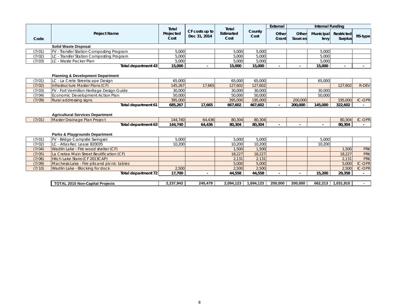|        |                                              | Total             |                                | Total             |                | External       |                         | <b>Internal Funding</b> |                              |               |
|--------|----------------------------------------------|-------------------|--------------------------------|-------------------|----------------|----------------|-------------------------|-------------------------|------------------------------|---------------|
| Code   | <b>Project Name</b>                          | Projected<br>Cost | CF costs up to<br>Dec 31, 2014 | Estimated<br>Cost | County<br>Cost | Other<br>Grant | Other<br><b>Sources</b> | Municipal<br>levy       | Restricted<br><b>Surplus</b> | RS-type       |
|        | <b>Solid Waste Disposal</b>                  |                   |                                |                   |                |                |                         |                         |                              |               |
| (7/01) | FV - Transfer Station Composting Program     | 5.000             |                                | 5.000             | 5.000          |                |                         | 5.000                   |                              |               |
| (7/02) | LC - Transfer Station Composting Program     | 5,000             |                                | 5,000             | 5,000          |                |                         | 5,000                   |                              |               |
| (7/03) | LC - Waste Packer Plan                       | 5,000             |                                | 5,000             | 5,000          |                |                         | 5,000                   |                              |               |
|        | Total department 43                          | 15,000            |                                | 15,000            | 15,000         |                |                         | 15,000                  |                              |               |
|        | <b>Planning &amp; Development Department</b> |                   |                                |                   |                |                |                         |                         |                              |               |
| (7/01) | LC - La Crete Streetscape Design             | 65,000            |                                | 65,000            | 65,000         |                |                         | 65,000                  |                              |               |
| (7/02) | Infrastructure Master Plans (CF)             | 145.267           | 17.665                         | 127.602           | 127.602        |                |                         |                         | 127.602                      | <b>R-DEV</b>  |
| (7/03) | FV - Fort Vermilion Heritage Design Guide    | 30,000            |                                | 30.000            | 30,000         |                |                         | 30,000                  |                              |               |
| (7/04) | Economic Development Action Plan             | 50,000            |                                | 50,000            | 50,000         |                |                         | 50,000                  |                              |               |
| (7/09) | Rural addressing signs                       | 395,000           |                                | 395,000           | 195,000        |                | 200,000                 |                         | 195,000                      | <b>IC-OPR</b> |
|        | Total department 61                          | 685,267           | 17.665                         | 667,602           | 467,602        |                | 200,000                 | 145,000                 | 322,602                      |               |
|        |                                              |                   |                                |                   |                |                |                         |                         |                              |               |
|        | <b>Agricultural Services Department</b>      |                   |                                |                   |                |                |                         |                         |                              |               |
| (7/01) | Master Drainage Plan Project                 | 144.740           | 64,436                         | 80.304            | 80.304         |                |                         |                         | 80.304                       | <b>IC-OPR</b> |
|        | Total department 63                          | 144,740           | 64,436                         | 80.304            | 80.304         |                |                         | $\blacksquare$          | 80.304                       |               |
|        |                                              |                   |                                |                   |                |                |                         |                         |                              |               |
|        | Parks & Playgrounds Department               |                   |                                |                   |                |                |                         |                         |                              |               |
| (7/01) | FV - Bridge Campsite Swingset                | 5.000             |                                | 5.000             | 5.000          |                |                         | 5.000                   |                              |               |
| (7/02) | LC - Atlas Rec Lease 820035                  | 10.200            |                                | 10.200            | 10,200         |                |                         | 10,200                  |                              |               |
| (7/04) | Wadlin Lake - Fire wood shelter (CF)         |                   |                                | 1.500             | 1,500          |                |                         |                         | 1,500                        | <b>PRK</b>    |
| (7/05) | La Cretee Main Street Beutification (CF)     |                   |                                | 18,227            | 18,227         |                |                         |                         | 18,227                       | <b>PRK</b>    |
| (7/06) | Hitch Lake Stairs (CF 2013CAP)               |                   |                                | 2,131             | 2,131          |                |                         |                         | 2,131                        | <b>PRK</b>    |
| (7/09) | Machesis Lake - Fire pits and picnic tables  |                   |                                | 5,000             | 5,000          |                |                         |                         | 5,000                        | <b>IC-OPR</b> |
| (7/10) | Wadlin Lake - Blocking for dock              | 2,500             |                                | 2,500             | 2,500          |                |                         |                         | 2,500                        | <b>IC-OPR</b> |
|        | Total department 72                          | 17,700            |                                | 44,558            | 44,558         |                |                         | 15,200                  | 29,358                       |               |
|        |                                              |                   |                                |                   |                |                |                         |                         |                              |               |
|        | <b>TOTAL 2015 Non-Capital Projects</b>       | 2,237,943         | 245,479                        | 2,094,123         | 1,694,123      | 200.000        | 200,000                 | 662,213                 | 1,031,910                    |               |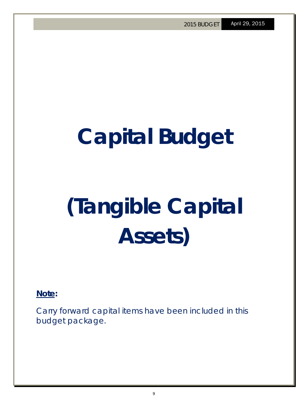# **Capital Budget**

# **(Tangible Capital Assets)**

**Note:** 

Carry forward capital items have been included in this budget package.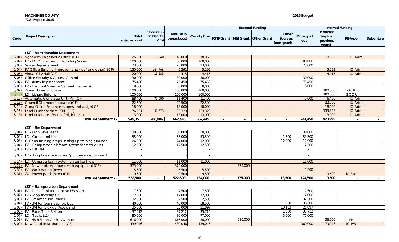#### **MACKENZIE COUNTY 2015 Budget TCA Projects 2015**

|        | <b>External Funding</b>                                        |                         |                                                |                            |                         |  |                         |                                 | <b>Internal Funding</b> |                                               |                          |           |
|--------|----------------------------------------------------------------|-------------------------|------------------------------------------------|----------------------------|-------------------------|--|-------------------------|---------------------------------|-------------------------|-----------------------------------------------|--------------------------|-----------|
| Code   | <b>Project Description</b>                                     | Total<br>projected cost | $CF \text{ costs up}$<br>to Dec $31$ ,<br>2014 | Total 2015<br>project cost | (County Cost FGTF Grant |  | MSI Grant   Other Grant | Other<br>Sources<br>(non-grant) | Municipal<br>levy       | Restricted<br>Surplus<br>(previous)<br>years) | RS-type                  | Debenture |
|        | (12) - Administration Department                               |                         |                                                |                            |                         |  |                         |                                 |                         |                                               |                          |           |
|        | (6/01) Signs with Flags for FV Office (CF)                     | 25,000                  | 6,940                                          | 18,060                     | 18,060                  |  |                         |                                 |                         | 18,060                                        | IC-Adm                   |           |
|        | (6/02) LC - LC Office Heating/Cooling System                   | 100,000                 |                                                | 100,000                    | 100,000                 |  |                         |                                 | 100,000                 |                                               |                          |           |
|        | $(6/03)$ Server Replacement                                    | 23,000                  |                                                | 23,000                     | 23,000                  |  |                         |                                 | 23,000                  |                                               |                          |           |
|        | (6/04)   FV Office Building Improvements (roof and other) (CF) | 150,000                 | 144,708                                        | 5,292                      | 5,292                   |  |                         |                                 |                         | 5,292                                         | IC-Adm                   |           |
|        | (6/05) Virtual City Hall (CF)                                  | 20,000                  | 15,585                                         | 4,415                      | 4,415                   |  |                         |                                 |                         | 4,415                                         | IC-Adm                   |           |
| (6/06) | Office Security & Access Control                               | 30,000                  |                                                | 30,000                     | 30,000                  |  |                         |                                 | 30,000                  |                                               |                          |           |
|        | $(6/07)$ FV - Xerox Replacement                                | 75,450                  |                                                | 75.450                     | 75.450                  |  |                         |                                 | 75,450                  |                                               |                          |           |
|        | (6/08)   FV - Fireproof Storage Cabinet (Records)              | 8,000                   |                                                | 8,000                      | 8,000                   |  |                         |                                 | 8,000                   |                                               |                          |           |
|        | (6/09) Zama House Purchase                                     | 100,000                 |                                                | 100,000                    | 100,000                 |  |                         |                                 |                         | 100,000                                       | <b>GCR</b>               |           |
|        | $(6/10)$ LC - Library Building                                 | 100,000                 |                                                | 100,000                    | 100,000                 |  |                         |                                 |                         | 100,000                                       | GOOR                     |           |
|        | (6/12) Automatic Generator Unit (FV) (CF)                      | 88,400                  | 77,000                                         | 11,400                     | 11,400                  |  |                         |                                 | 5,000                   | 6,400                                         | IC-Adm                   |           |
|        | (6/13) Council Chamber Upgrade (CF)                            | 22,500                  |                                                | 22,500                     | 22,500                  |  |                         |                                 |                         | 22,500                                        | IC-Adm                   |           |
|        | (6/14) Zama Office Entrance (stones and a sign) CF)            | 18,000                  |                                                | 18,000                     | 18,000                  |  |                         |                                 |                         | 18,000                                        | IC-Adm                   |           |
|        | (6/15) Land Purchase from ESRD (CF)                            | 176,001                 | 42,673                                         | 133,328                    | 133,328                 |  |                         |                                 |                         | 133,328                                       | IC-Adm                   |           |
|        | (6/18) Land Purchase (South of High Level)                     | 13,000                  |                                                | 13,000                     | 13,000                  |  |                         |                                 |                         | 13,000                                        | IC-Adm                   |           |
|        | Total department 12                                            | 949,351                 | 286,906                                        | 662,445                    | 662,445                 |  |                         |                                 | 241,450                 | 420,995                                       | $\overline{\phantom{a}}$ |           |
|        |                                                                |                         |                                                |                            |                         |  |                         |                                 |                         |                                               |                          |           |

#### **(23) - Fire Department**

| (6/01) LC - High Level Aerial                              | 30,000  | 30,000  | 30,000  |         |        | 30,000  |       |         |  |
|------------------------------------------------------------|---------|---------|---------|---------|--------|---------|-------|---------|--|
| $(6/02)$ LC - Command Unit                                 | 55,000  | 55,000  | 53,500  |         | 1,500  | 53,500  |       |         |  |
| (6/03) C-Cans, training props, setting up training grounds | 24,000  | 24,000  | 12,000  |         | 12,000 | 12,000  |       |         |  |
| (6/04)   FV - Compressed air foam system for rescue unit   | 12.500  | 12.500  | 12,500  |         |        | 12,500  |       |         |  |
| $(6/05)$ FV - Fire Hall                                    |         |         |         |         |        |         |       |         |  |
| (6/06) LC - Tompkins - new tanker/pumper w/ equipment      |         |         |         |         |        |         |       |         |  |
| $(6/14)$ LC - Upgrade foam system on tanker (new)          | 11,000  | 11,000  | 11,000  |         |        | 11,000  |       |         |  |
| $(6/27)$ FV - New tanker/pumper, with equipment (CF)       | 375,000 | 375,000 |         | 375,000 |        |         |       |         |  |
| $(6/30)$ FV - Work bench (new)                             | 5,500   | 5,500   | 5,500   |         |        | 5,500   |       |         |  |
| $(6/31)$ ZA - Power pack (new) (CF)                        | 9,500   | 9,500   | 9,500   |         |        |         | 9.500 | IC-Fire |  |
| Total department 23                                        | 522,500 | 522,500 | 134,000 | 375,000 | 13,500 | 124,500 | 9,500 |         |  |

#### **(32) - Transportation Department**

| $(6/01)$ FV - Deck Replacement on PW shop | ,500    | 7,500   | 7,500   |         |        | 7,500   |        |           |  |
|-------------------------------------------|---------|---------|---------|---------|--------|---------|--------|-----------|--|
| (6/02) FV - Shop floor repair             | 12,000  | 12,000  | 12,000  |         |        | 12,000  |        |           |  |
| (6/03) FV - Steamer Unit - trailer        | 32,500  | 32,500  | 32,500  |         |        | 32,500  |        |           |  |
| $(6/04)$ FV - 3/4 ton Supervisor pick up  | 40,000  | 40,000  | 38,500  |         | 1,500  | 38,500  |        |           |  |
| (6/05) FV - 3/4 ton pick up (Accident)    | 35,000  | 35,000  | 21,897  |         | 13,103 | 21,897  |        |           |  |
| (6/06) FV - Parks Truck 3/4 ton           | 37,212  | 37,212  | 35,712  |         | 1,500  | 35,712  |        |           |  |
| $(6/07)$ LC - Trucks $(x2)$               | 80,000  | 80,000  | 77,000  |         | 3,000  | 77,000  |        |           |  |
| $(6/08)$ FV - 48th Street & 47th Avenue   | 616,000 | 616,000 | 36,000  | 580,000 |        |         | 36,000 | <b>RR</b> |  |
| (6/09) New Road Infrastructure (CF)       | 439,046 | 439,046 | 439,046 |         |        | 360,000 | 79,046 | IC-PW     |  |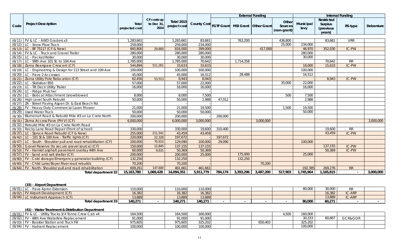|        |                                                              |                         |                                      |                                   |                        |          |           | <b>External Funding</b> |                                 |                   | <b>Internal Funding</b>                      |            |                  |
|--------|--------------------------------------------------------------|-------------------------|--------------------------------------|-----------------------------------|------------------------|----------|-----------|-------------------------|---------------------------------|-------------------|----------------------------------------------|------------|------------------|
| Code   | <b>Project Description</b>                                   | Total<br>projected cost | CF costs up<br>to Dec $31$ ,<br>2014 | <b>Total 2015</b><br>project cost | County Cost FGTF Grant |          |           | MSI Grant   Other Grant | Other<br>Sources<br>(non-grant) | Municipal<br>levy | Restricted<br>Surplus<br>(previous<br>years) | RS-type    | <b>Debenture</b> |
|        |                                                              |                         |                                      |                                   |                        |          |           |                         |                                 |                   |                                              |            |                  |
|        | $(6/11)$ FV & LC - AWD Graders x3                            | 1,283,661               |                                      | 1,283,661                         | 83,661                 |          | 763,200   |                         | 436,800                         |                   | 83,661                                       | <b>VRR</b> |                  |
|        | $(6/12)$ LC - Snow Plow Truck                                | 259,000                 |                                      | 259,000                           | 234,000                |          |           |                         | 25,000                          | 234,000           |                                              |            |                  |
|        | (6/13) LC - BF 75117 (CF & New)                              | 845,800                 | 29,800                               | 816,000                           | 399,000                |          |           | 417,000                 |                                 | 46,970            | 352,030                                      | IC-PW      |                  |
| (6/14) | FV & LC - Truck and Gravel Trailer                           | 280,000                 |                                      | 280,000                           | 280,000                |          |           |                         |                                 | 280,000           |                                              |            |                  |
|        | $(6/15)$ LC - Packer/Roller                                  | 30,000                  |                                      | 30,000                            | 30,000                 |          |           |                         |                                 | 30,000            |                                              |            |                  |
|        | (6/17) LC - 99th Ave 101 St. to 104 Ave                      | 1,785,000               |                                      | 1,785,000                         | 70,642                 |          | 1,714,358 |                         |                                 |                   | 70,642                                       | ${\sf RR}$ |                  |
|        | (6/18) Zama Bearspaw Crescent (CF)                           | 544,894                 | 511,261                              | 33,633                            | 33,633                 |          |           |                         |                                 | 18,000            | 15,633                                       | IC-PW      |                  |
|        | (6/19) LC - Engineering & Design for 113 Street and 109 Ave  | 100,000                 |                                      | 100,000                           | 100,000                |          |           |                         |                                 | 100,000           |                                              |            |                  |
| (6/20) | LC - Pave 2 Accesses                                         | 45,000                  |                                      | 45,000                            | 16,512                 |          | 28,488    |                         |                                 | 16,512            |                                              |            |                  |
| (6/21) | Zama Utility Pole Relocation (CF)                            | 62,456                  | 53,513                               | 8,943                             | 8,943                  |          |           |                         |                                 |                   | 8,943                                        | IC-PW      |                  |
| (6/22) | LC - Skidsteer 850                                           | 57,000                  |                                      | 57,000                            | 22,000                 |          |           |                         | 35,000                          | 22,000            |                                              |            |                  |
|        | (6/23) LC - Tilt Deck Utility Trailer                        | 16,000                  |                                      | 16,000                            | 16,000                 |          |           |                         |                                 | 16,000            |                                              |            |                  |
|        | $(6/24)$ LC - Ridge Mulcher                                  |                         |                                      |                                   |                        |          |           |                         |                                 |                   |                                              |            |                  |
|        | (6/25)   LC - Bobcat Attachment (snowblower)                 | 8,000                   |                                      | 8.000                             | 7,500                  |          |           |                         | 500                             | 7,500             |                                              |            |                  |
|        | (6/26) High Level South Rebuild                              | 50,000                  |                                      | 50,000                            | 2,988                  | 47,012   |           |                         |                                 | 2,988             |                                              |            |                  |
|        | (6/27) ZA - Street Paving Aspen Dr. & East Beach Rd.         |                         |                                      |                                   |                        |          |           |                         |                                 |                   |                                              |            |                  |
|        | (6/28)   FV - Heavy Duty Commercial Lawn Mower               | 21,000                  |                                      | 21,000                            | 19,500                 |          |           |                         | 1,500                           | 19,500            |                                              |            |                  |
| (6/29) | <b>Used Water Truck</b>                                      | 50,000                  |                                      | 50,000                            | 50,000                 |          |           |                         |                                 | 50,000            |                                              |            |                  |
| (6/30) | Blumenort Road & Rebuild Mile #3 on La Crete North           | 200,000                 |                                      | 200,000                           |                        | 200,000  |           |                         |                                 |                   |                                              |            |                  |
| (6/31) | Zama Access Pave (PH V) (CF)                                 | 6,000,000               |                                      | 6,000,000                         | 3,000,000              |          |           | 3,000,000               |                                 |                   |                                              |            | 3,000,000        |
| (6/32) | Rebuild Mile #3 on La Crete North Road                       |                         |                                      |                                   |                        |          |           |                         |                                 |                   |                                              |            |                  |
| (6/33) | Rocky Lane Road Repair (Front of school)                     | 330,000                 |                                      | 330,000                           | 19,600                 | 310,400  |           |                         |                                 |                   | 19,600                                       | <b>RR</b>  |                  |
| (6/37) | LC - Spruce Road Rebuild (CF & New)                          | 255,000                 | 211.541                              | 43,459                            | 43,459                 |          |           |                         |                                 |                   | 43,459                                       | IC-PW      |                  |
|        | (6/42) LC - 101 St & 100 Ave - Traffic lights (CF)           | 220,000                 | 22,328                               | 197,672                           |                        | 197,672  |           |                         |                                 |                   |                                              |            |                  |
| (6/47) | LC - South - Shoulder pull and road rehabilitation (CF)      | 200,000                 | 70,910                               | 129,090                           | 100,000                | 29,090   |           |                         |                                 | 100,000           |                                              |            |                  |
| (6/50) | Gravel Reserve (to secure gravel source) (CF)                | 150,000                 | 12,845                               | 137,155                           | 137,155                |          |           |                         |                                 |                   | 137.155                                      | IC-PW      |                  |
| (6/53) | FV - Hamlet asphalt pavement overlay 44th Ave                | 60,000                  | 9,631                                | 50,369                            | 50,369                 |          |           |                         |                                 |                   | 50,369                                       | IC-PW      |                  |
|        | (6/57)   FV - Sand and salt shelter (CF)                     | 200,000                 |                                      | 200,000                           | 25,000                 |          | 175,000   |                         |                                 | 25,000            |                                              |            |                  |
|        | (6/60)   FV - Cold storage/Emergency generator building (CF) | 132,250                 |                                      | 132,250                           |                        |          | 132,250   |                         |                                 |                   |                                              |            |                  |
|        | (6/60) FV - Child Lake/Boyer River road rebuilds             | 70,200                  |                                      | 70,200                            |                        |          |           | 70,200                  |                                 |                   |                                              |            |                  |
|        | $(6/64)$ FV - North-Shoulder pull and road rehabilitation    | 609,261                 | 147,600                              | 461,661                           | 461.661                |          |           |                         |                                 | 192,385           | 269,276                                      | RR         |                  |
|        | <b>Total department 32</b>                                   | 15,163,780              | 1,069,428                            | 14,094,351                        | 5,911,779              | 784, 174 | 3,393,296 | 3,487,200               | 517,903                         | 1,745,964         | 1,165,815                                    |            | 3,000,000        |

#### **(33) - Airport Department**

| (6/01) | LC - Pave Apron Extension            | 110,000 | 110,000 | 110,000 |  |  | nn nnn<br>י יטט,טנ | 30,000 |        |  |
|--------|--------------------------------------|---------|---------|---------|--|--|--------------------|--------|--------|--|
|        | (6/02) FV Airport Development (CF)   | 16,382  | 16,382  | 16,382  |  |  |                    | 16,382 | IC-ARP |  |
|        | $(6/04)$ LC Instrument Approach (CF) | 13.889  | 13,889  | 13,889  |  |  |                    | 13,889 | IC-ARP |  |
|        | Total department 33                  | 140.271 | 40.271  | 140.271 |  |  | 80.000             | 60,271 |        |  |

#### **(41) - Water Treatment & Distribution Department**

| (6/01) FV & LC - Utility Trucks 3/4 Tonne Crew Cab x4 | <sup>1</sup> 54.500 | 164,500 | 160,000 |         |         |        |         |  |
|-------------------------------------------------------|---------------------|---------|---------|---------|---------|--------|---------|--|
| (6/02) FV - 48th Ave Waterline Replacement            |                     | 91,000  | 91.000  |         | 30,333  | 50,667 | GCR&GOR |  |
| (6/03) FV - Booster Station and Truck Fill            | 975,605             | 975,605 |         | 650,403 | 325,202 |        |         |  |
| (6/04) FV - Hydrant Replacement                       | 100.000             | 100,000 | 100.000 |         | 100,000 |        |         |  |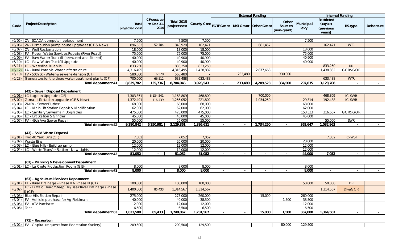|               |                                                                          |                         |                                   |                                   |                        | <b>External Funding</b> |                  |                    |                                 | <b>Internal Funding</b> |                                              |                   |                  |
|---------------|--------------------------------------------------------------------------|-------------------------|-----------------------------------|-----------------------------------|------------------------|-------------------------|------------------|--------------------|---------------------------------|-------------------------|----------------------------------------------|-------------------|------------------|
| Code          | <b>Project Description</b>                                               | Total<br>projected cost | CF costs up<br>to Dec 31,<br>2014 | <b>Total 2015</b><br>project cost | County Cost FGTF Grant |                         | <b>MSI Grant</b> | <b>Other Grant</b> | Other<br>Sources<br>(non-grant) | Municipal<br>levy       | Restricted<br>Surplus<br>(previous<br>years) | RS-type           | <b>Debenture</b> |
|               |                                                                          |                         |                                   |                                   |                        |                         |                  |                    |                                 |                         |                                              |                   |                  |
| (6/05)        | ZA - SCADA computer replacement                                          | 7,500                   |                                   | 7,500                             | 7,500                  |                         |                  |                    |                                 | 7,500                   |                                              |                   |                  |
| (6/06)        | ZA - Distribution pump house upgrades (CF & New)                         | 896,632                 | 52,704                            | 843,928                           | 162,471                |                         |                  | 681,457            |                                 |                         | 162,471                                      | <b>WTR</b>        |                  |
|               | $(6/07)$ ZA - Well Reclamation                                           | 18,000                  |                                   | 18,000                            | 18,000                 |                         |                  |                    |                                 | 18,000                  |                                              |                   |                  |
| (6/08)        | FV - Frozen Water Services Repairs (River Road)                          | 75,000                  |                                   | 75,000                            | 75,000                 |                         |                  |                    |                                 | 75,000                  |                                              |                   |                  |
|               | (6/09) FV - Raw Water Truck fill (pressured and filtered)                | 40,900                  |                                   | 40,900                            | 40,900                 |                         |                  |                    |                                 | 40,900                  |                                              |                   |                  |
| (6/10)        | LC - Raw Water Truckfill Upgrade                                         | 40,900                  |                                   | 40,900                            | 40,900                 |                         |                  |                    |                                 | 40,900                  |                                              |                   |                  |
|               | $(6/11)$ LC - Waterline Bluehills                                        | 833,250                 |                                   | 833,250                           | 833,250                |                         |                  |                    |                                 |                         | 833,250                                      | <b>RR</b>         |                  |
| (6/12)        | LA - Rural Potable Water Infrastructure                                  | 4,316,495               |                                   | 4,316,495                         | 1,438,832              |                         |                  | 2,877,663          |                                 |                         | 1,438,832                                    | GCR&GOR           |                  |
|               | (6/19)   FV - 50th St - Water & sewer extension (CF)                     | 580,000                 | 16,520                            | 563,480                           |                        |                         | 233,480          |                    | 330,000                         |                         |                                              |                   |                  |
| (6/23)        | Generators for the three water treatment plants (CF)                     | 700,000                 | 66,512                            | 633,488                           | 633,488                |                         |                  |                    |                                 |                         | 633,488                                      | <b>WTR</b>        |                  |
|               | Total department 41                                                      | 8,839,782               | 135,736                           | 8,704,046                         | 3,926,543              |                         | 233,480          | 4,209,523          | 334,500                         | 797,835                 | 3,128,708                                    | $\sim$            |                  |
|               | (42) - Sewer Disposal Department                                         |                         |                                   |                                   |                        |                         |                  |                    |                                 |                         |                                              |                   |                  |
|               | $(6/01)$ LC Lagoon Upgrade (CF)                                          | 7,303,351               | 6,134,541                         | 1,168,809                         | 468,809                |                         |                  | 700,000            |                                 |                         | 468,809                                      | IC-SWR            |                  |
| (6/02)        | Zama - Lift station upgrade (CF & New)                                   | 1,372,491               | 116,439                           | 1,256,052                         | 221,802                |                         |                  | 1,034,250          |                                 | 29,314                  | 192,488                                      | IC-SWR            |                  |
|               | (6/03) ZA/FV - Sewer Flusher                                             | 68,000                  |                                   | 68,000                            | 68,000                 |                         |                  |                    |                                 | 68,000                  |                                              |                   |                  |
|               | (6/04) LC - Main Lift Station Repair & Modification                      | 62,000                  |                                   | 62,000                            | 62,000                 |                         |                  |                    |                                 | 62,000                  |                                              |                   |                  |
|               | (6/05) LC - Sanitary Sewermain Upgrades                                  | 475,000                 |                                   | 475,000                           | 475,000                |                         |                  |                    |                                 | 158,333                 | 316,667                                      | GCR&GOR           |                  |
|               | $(6/06)$ LC - Lift Station 5 Grinder                                     | 45,000<br>55,000        |                                   | 45,000                            | 45,000                 |                         |                  |                    |                                 | 45,000                  |                                              |                   |                  |
|               | $(6/07)$ FV - 49th Ave Sewer Repair                                      |                         |                                   | 55,000                            | 55,000                 |                         |                  |                    |                                 |                         | 55,000                                       | SWR               |                  |
|               | <b>Total department 42</b>                                               | 9,380,842               | 6,250,981                         | 3,129,861                         | 1,395,611              |                         |                  | 1,734,250          |                                 | 362,647                 | 1,032,963                                    |                   |                  |
|               | (43) - Solid Waste Disposal                                              |                         |                                   |                                   |                        |                         |                  |                    |                                 |                         |                                              |                   |                  |
|               | $(6/01)$ Two 40 Yard Bins (CF)                                           | 7,052                   |                                   | 7,052                             | 7,052                  |                         |                  |                    |                                 |                         | 7,052                                        | IC-WST            |                  |
| (6/02)        | <b>Waste Bins</b>                                                        | 20,000                  |                                   | 20,000                            | 20,000                 |                         |                  |                    |                                 | 20,000                  |                                              |                   |                  |
|               | $(6/03)$ LC - Blue Hills - Build up ramp                                 | 12,000                  |                                   | 12,000                            | 12,000                 |                         |                  |                    |                                 | 12,000                  |                                              |                   |                  |
|               | (6/04) LC - Waste Transfer Station - New Lights                          | 12,000                  |                                   | 12,000                            | 12,000                 |                         |                  |                    |                                 | 12,000                  |                                              |                   |                  |
|               | Total department 43                                                      | 51,052                  |                                   | 51,052                            | 51,052                 |                         |                  |                    |                                 | 44,000                  | 7,052                                        |                   | $\sim$           |
|               | (61) - Planning & Development Department                                 |                         |                                   |                                   |                        |                         |                  |                    |                                 |                         |                                              |                   |                  |
|               | $(6/01)$ LC - La Crete Production Room (GIS)                             | 8,000                   |                                   | 8,000                             | 8,000                  |                         |                  |                    |                                 | 8,000                   |                                              |                   |                  |
|               | Total department 61                                                      | 8,000                   |                                   | 8,000                             | 8,000                  |                         |                  |                    |                                 | 8,000                   |                                              |                   |                  |
|               | (63) - Agricultural Services Department                                  |                         |                                   |                                   |                        |                         |                  |                    |                                 |                         |                                              |                   |                  |
|               | (6/01)   HL - Rural Drainage - Phase II & Phase III (CF)                 | 100,000                 |                                   | 100,000                           | 100,000                |                         |                  |                    |                                 | 50,000                  | 50,000                                       | <b>DR</b>         |                  |
|               | LC - Buffalo Head/Steep Hill/Bear River Drainage (Phase<br>$(6/02)$ (CF) | 1,400,000               | 85,433                            | 1,314,567                         | 1,314,567              |                         |                  |                    |                                 |                         | 1,314,567                                    | <b>DR&amp;GCR</b> |                  |
|               | (6/03) Blue Hills Erosion Repair                                         | 275,000                 |                                   | 275,000                           | 260,000                |                         |                  | 15,000             |                                 | 260,000                 |                                              |                   |                  |
|               | $(6/04)$ FV - Vehicle purchase for Ag Fieldman                           | 40,000                  |                                   | 40,000                            | 38,500                 |                         |                  |                    | 1,500                           | 38,500                  |                                              |                   |                  |
|               | (6/05) FV - ATV Purchase                                                 | 12,000                  |                                   | 12,000                            | 12,000                 |                         |                  |                    |                                 | 12,000                  |                                              |                   |                  |
| $(6/06)$ Tent |                                                                          | 6,500                   |                                   | 6,500                             | 6,500                  |                         |                  |                    |                                 | 6,500                   |                                              |                   |                  |
|               | Total department 63                                                      | 1,833,500               | 85,433                            | 1,748,067                         | 1,731,567              |                         |                  | 15,000             | 1,500                           | 367,000                 | 1,364,567                                    |                   |                  |
|               | (71) - Recreation                                                        |                         |                                   |                                   |                        |                         |                  |                    |                                 |                         |                                              |                   |                  |

| $-1$<br>(6/02)<br>1200r<br>$\cdot$ trom.<br>$\sqrt{2}$<br><i>Sociaty</i><br>.<br>، ۱۷ ب<br>.<br>$\sim$ | 200E00<br>207,000 | $\cdots$<br>J,UUU | 200E<br>$\cdots$ |  |
|--------------------------------------------------------------------------------------------------------|-------------------|-------------------|------------------|--|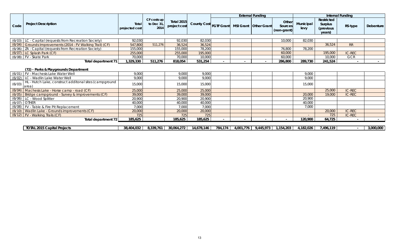|        |                                                                |                                |                                             |                                   |                    | <b>External Funding</b> |           |                         |                                 | <b>Internal Funding</b> |                                              |               |           |
|--------|----------------------------------------------------------------|--------------------------------|---------------------------------------------|-----------------------------------|--------------------|-------------------------|-----------|-------------------------|---------------------------------|-------------------------|----------------------------------------------|---------------|-----------|
| Code   | <b>Project Description</b>                                     | <b>Total</b><br>projected cost | $CF \text{ costs up}$<br>to Dec 31,<br>2014 | <b>Total 2015</b><br>project cost | <b>County Cost</b> | <b>FGTF Grant</b>       |           | MSI Grant   Other Grant | Other<br>Sources<br>(non-grant) | Municipal<br>levy       | Restricted<br>Surplus<br>(previous<br>vears) | RS-type       | Debenture |
|        |                                                                |                                |                                             |                                   |                    |                         |           |                         |                                 |                         |                                              |               |           |
|        | (6/03) LC - Capital (requests from Recreation Society)         | 92,030                         |                                             | 92,030                            | 82,030             |                         |           |                         | 10,000                          | 82,030                  |                                              |               |           |
| (6/04) | Grounds Improvements (2014 - FV Walking Trail) (CF)            | 547,800                        | 511,276                                     | 36,524                            | 36,524             |                         |           |                         |                                 |                         | 36,524                                       | <b>RR</b>     |           |
| (6/06) | ZA - Capital (requests from Recreation Society)                | 155,000                        |                                             | 155,000                           | 78,200             |                         |           |                         | 76,800                          | 78,200                  |                                              |               |           |
| (6/07) | LC Splash Park (CF)                                            | 255,000                        |                                             | 255,000                           | 195,000            |                         |           |                         | 60,000                          |                         | 195,000                                      | <b>IC-REC</b> |           |
|        | $(6/08)$ FV - Skate Park                                       | 70,000                         |                                             | 70,000                            | 10,000             |                         |           |                         | 60,000                          |                         | 10,000                                       | <b>GCR</b>    |           |
|        | Total department 71                                            | 1,329,330                      | 511,276                                     | 818,054                           | 531,254            |                         |           |                         | 286,800                         | 289,730                 | 241,524                                      |               |           |
|        | (72) - Parks & Playgrounds Department                          |                                |                                             |                                   |                    |                         |           |                         |                                 |                         |                                              |               |           |
| (6/01) | FV - Machesis Lake Water Well                                  | 9,000                          |                                             | 9,000                             | 9.000              |                         |           |                         |                                 | 9,000                   |                                              |               |           |
| (6/02) | LC - Wadlin Lake Water Well                                    | 9,000                          |                                             | 9,000                             | 9,000              |                         |           |                         |                                 | 9,000                   |                                              |               |           |
| (6/03) | HL - Hutch Lake, construct additonal sites (campground<br>area | 15,000                         |                                             | 15,000                            | 15,000             |                         |           |                         |                                 | 15,000                  |                                              |               |           |
| (6/04) | Machesis Lake - Horse camp - road (CF)                         | 25,000                         |                                             | 25,000                            | 25,000             |                         |           |                         |                                 |                         | 25,000                                       | <b>IC-REC</b> |           |
| (6/05) | Bridge campground - Survey & improvements (CF)                 | 39,000                         |                                             | 39,000                            | 39,000             |                         |           |                         |                                 | 20,000                  | 19,000                                       | <b>IC-REC</b> |           |
| (6/06) | LC - Wood Splitter                                             | 20,900                         |                                             | 20,900                            | 20,900             |                         |           |                         |                                 | 20,900                  |                                              |               |           |
| (6/07) | <b>OTHER</b>                                                   | 40,000                         |                                             | 40,000                            | 40,000             |                         |           |                         |                                 | 40,000                  |                                              |               |           |
| (6/08) | FV - Table & Fire Pit Replacement                              | 7,000                          |                                             | 7,000                             | 7,000              |                         |           |                         |                                 | 7,000                   |                                              |               |           |
| (6/10) | Wadlin Lake - Grounds improvements (CF)                        | 20,000                         |                                             | 20,000                            | 20,000             |                         |           |                         |                                 |                         | 20,000                                       | IC-REC        |           |
|        | $(6/12)$ FV - Walking Trails (CF)                              | 725                            |                                             | 725                               | 725                |                         |           |                         |                                 |                         | 725                                          | <b>IC-REC</b> |           |
|        | Total department 72                                            |                                |                                             | 185,625                           | 185,625            |                         |           |                         |                                 | 120,900                 | 64,725                                       | $\sim$        |           |
|        |                                                                |                                |                                             |                                   |                    |                         |           |                         |                                 |                         |                                              |               |           |
|        | <b>TOTAL 2015 Capital Projects</b>                             | 38,404,032                     | 8,339,761                                   | 30,064,272                        | 14,678,146         | 784,174                 | 4,001,776 | 9,445,973               | 1,154,203                       | 4,182,026               | 7,496,119                                    | $\sim$        | 3,000,000 |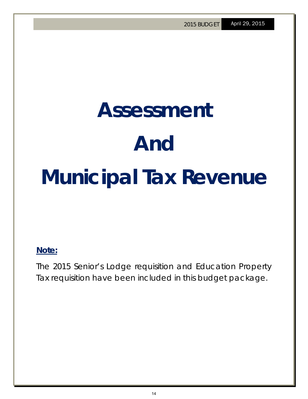# **Assessment And Municipal Tax Revenue**

### **Note:**

The 2015 Senior's Lodge requisition and Education Property Tax requisition have been included in this budget package.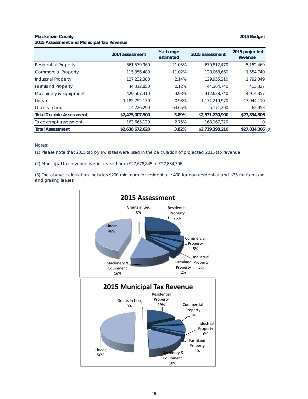#### **Mackenzie County 2015 Budget 2015 Assessment and Municipal Tax Revenue**

|                                 | 2014 assessment | % change<br>estimated | 2015 assessment | 2015 projected<br>revenue |
|---------------------------------|-----------------|-----------------------|-----------------|---------------------------|
| <b>Residential Property</b>     | 561,579,960     | 21.05%                | 679,812,470     | 5,152,469                 |
| <b>Commercial Property</b>      | 115,356,480     | 11.02%                | 128,068,660     | 1,554,740                 |
| <b>Industrial Property</b>      | 127,232,380     | 2.14%                 | 129,955,210     | 1,792,349                 |
| <b>Farmland Property</b>        | 44,312,850      | 0.12%                 | 44,364,740      | 413,327                   |
| Machinery & Equipment           | 429,507,410     | $-3.93%$              | 412.638.740     | 4,914,357                 |
| Linear                          | 1.182.792.130   | $-0.98%$              | 1.171.219.970   | 13,944,110                |
| <b>Grants in Lieu</b>           | 14,226,290      | $-63.65%$             | 5.171.200       | 62,953                    |
| <b>Total Taxable Assessment</b> | \$2,475,007,500 | 3.89%                 | \$2,571,230,990 | \$27,834,306              |
| Tax exempt assessment           | 163,665,120     | 2.75%                 | 168, 167, 220   |                           |
| <b>Total Assessment</b>         | \$2,638,672,620 | 3.82%                 | \$2,739,398,210 | \$27,834,306 (2)          |

Notes:

(1) Please note that 2015 tax bylaw rates were used in the calculation of projected 2015 tax revenue

(2) Municipal tax revenue has increased from \$27,678,845 to \$27,834,306

(3) The above calculation includes \$200 minimum for residential, \$400 for non-residential and \$35 for farmland and grazing leases.

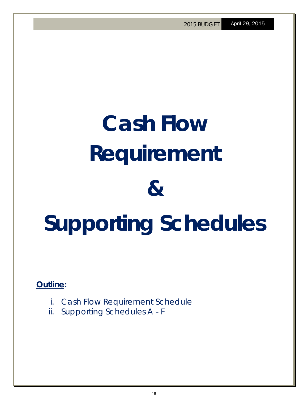# **Cash Flow Requirement & Supporting Schedules**

**Outline:** 

- i. Cash Flow Requirement Schedule
- ii. Supporting Schedules A F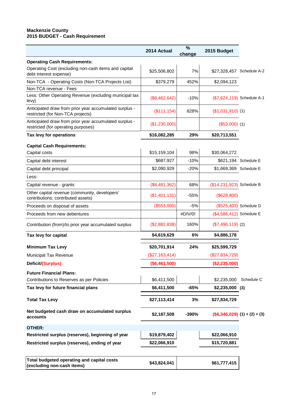#### **Mackenzie County 2015 BUDGET - Cash Requirement**

|                                                                                               | 2014 Actual      | %<br>change | 2015 Budget                      |                        |
|-----------------------------------------------------------------------------------------------|------------------|-------------|----------------------------------|------------------------|
| <b>Operating Cash Requirements:</b>                                                           |                  |             |                                  |                        |
| Operating Cost (excluding non-cash items and capital<br>debt interest expense)                | \$25,506,802     | 7%          | \$27,328,457 Schedule A-2        |                        |
| Non-TCA - Operating Costs (Non-TCA Projects List)                                             | \$379,279        | 452%        | \$2,094,123                      |                        |
| Non-TCA revenue - Fees                                                                        |                  |             |                                  |                        |
| Less: Other Operating Revenue (excluding municipal tax<br>levy)                               | (\$8,462,642)    | $-10%$      | (\$7,624,119) Schedule A-1       |                        |
| Anticipated draw from prior year accumulated surplus -<br>restricted (for Non-TCA projects)   | (\$111, 154)     | 828%        | $($1,031,910)$ (1)               |                        |
| Anticipated draw from prior year accumulated surplus -<br>restricted (for operating purposes) | (\$1,230,000)    |             | $($53,000)$ (1)                  |                        |
| Tax levy for operations                                                                       | \$16,082,285     | 29%         | \$20,713,551                     |                        |
| <b>Capital Cash Requirements:</b>                                                             |                  |             |                                  |                        |
| Capital costs                                                                                 | \$15,159,104     | 98%         | \$30,064,272                     |                        |
| Capital debt interest                                                                         | \$687,927        | $-10%$      |                                  | \$621,194 Schedule E   |
| Capital debt principal                                                                        | \$2,090,929      | $-20%$      | \$1,669,369 Schedule E           |                        |
| Less:                                                                                         |                  |             |                                  |                        |
| Capital revenue - grants                                                                      | (\$8,481,362)    | 68%         | (\$14,231,923) Schedule B        |                        |
| Other capital revenue (community, developers'                                                 |                  |             |                                  |                        |
| contributions; contributed assets)                                                            | (\$1,401,131)    | $-55%$      | (\$628,800)                      |                        |
| Proceeds on disposal of assets                                                                | (\$553,000)      | $-5%$       |                                  | (\$525,403) Schedule D |
| Proceeds from new debentures                                                                  |                  | #DIV/0!     | (\$4,586,412) Schedule E         |                        |
| Contribution (from)/to prior year accumulated surplus                                         | (\$2,882,838)    | 160%        | $($7,496,119)$ (2)               |                        |
| Tax levy for capital                                                                          | \$4,619,629      | 6%          | \$4,886,178                      |                        |
| <b>Minimum Tax Levy</b>                                                                       | \$20,701,914     | 24%         | \$25,599,729                     |                        |
| <b>Municipal Tax Revenue</b>                                                                  | $(\$27,163,414)$ |             | $(\$27,834,729)$                 |                        |
| Deficit/(Surplus)                                                                             | (\$6,461,500)    |             | (\$2,235,000)                    |                        |
| <b>Future Financial Plans:</b>                                                                |                  |             |                                  |                        |
| Contributions to Reserves as per Policies                                                     | \$6,411,500      |             | \$2,235,000 Schedule C           |                        |
| Tax levy for future financial plans                                                           | \$6,411,500      | $-65%$      | $$2,235,000$ (3)                 |                        |
| <b>Total Tax Levy</b>                                                                         | \$27,113,414     | 3%          | \$27,834,729                     |                        |
| Net budgeted cash draw on accumulated surplus<br>accounts                                     | \$2,187,508      | $-390%$     | $($6,346,029)$ $(1) + (2) + (3)$ |                        |
| <b>OTHER:</b>                                                                                 |                  |             |                                  |                        |
| Restricted surplus (reserves), beginning of year                                              | \$19,879,402     |             | \$22,066,910                     |                        |
| Restricted surplus (reserves), ending of year                                                 | \$22,066,910     |             | \$15,720,881                     |                        |
|                                                                                               |                  |             |                                  |                        |
| Total budgeted operating and capital costs<br>(excluding non-cash items)                      | \$43,824,041     |             | \$61,777,415                     |                        |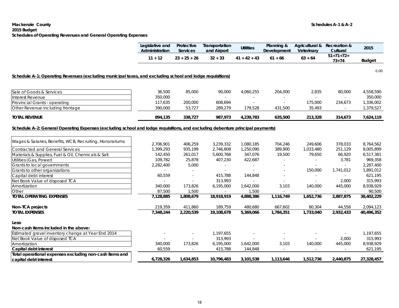#### **Mackenzie County Schedules A-1 & A-2 2015 Budget Schedules of Operating Revenues and General Operating Expenses**

|                                                                                                                                | Legislative and<br>Administration | Protective<br><b>Services</b> | Transportation<br>and Airport | <b>Utilities</b> | Planning &<br>Development | Agricultural &<br>Veterinary | Recreation &<br>Cultural | 2015          |
|--------------------------------------------------------------------------------------------------------------------------------|-----------------------------------|-------------------------------|-------------------------------|------------------|---------------------------|------------------------------|--------------------------|---------------|
|                                                                                                                                | $11 + 12$                         | $23 + 25 + 26$                | $32 + 33$                     | $41 + 42 + 43$   | $61 + 66$                 | $63 + 64$                    | $51+71+72+$<br>$73 + 74$ | <b>Budget</b> |
| Schedule A-1: Operating Revenues (excluding municipal taxes, and excluding school and lodge requisitions)                      |                                   |                               |                               |                  |                           |                              |                          | 6.00          |
|                                                                                                                                |                                   |                               |                               |                  |                           |                              |                          |               |
| Sale of Goods & Services                                                                                                       | 36,500                            | 85,000                        | 90,000                        | 4,060,255        | 204,000                   | 2,835                        | 80,000                   | 4,558,590     |
| Interest Revenue                                                                                                               | 350,000                           | $\sim$                        | $\sim$                        |                  |                           | $\sim$                       | $\sim$                   | 350,000       |
| Provincial Grants - operating                                                                                                  | 117,635                           | 200,000                       | 608,694                       | ÷.               | $\sim$                    | 175,000                      | 234,673                  | 1,336,002     |
| Other Revenue including frontage                                                                                               | 390,000                           | 53,727                        | 289,279                       | 179,528          | 431,500                   | 35,493                       | $\sim$                   | 1,379,527     |
| <b>TOTAL REVENUE</b>                                                                                                           | 894,135                           | 338,727                       | 987,973                       | 4,239,783        | 635,500                   | 213,328                      | 314,673                  | 7,624,119     |
|                                                                                                                                |                                   |                               |                               |                  |                           |                              |                          |               |
| Schedule A-2: General Operating Expenses (excluding school and lodge requisitions, and excluding debenture principal payments) |                                   |                               |                               |                  |                           |                              |                          |               |
| Wages & Salaries, Benefits, WCB, Recruiting, Honorariums                                                                       | 2,706,901                         | 406,259                       | 3,239,332                     | 1,080,185        | 704,246                   | 249,606                      | 378,033                  | 8,764,562     |
| <b>Contracted and General Services</b>                                                                                         | 1,399,293                         | 935,199                       | 2,746,808                     | 1,250,090        | 389,900                   | 1,033,480                    | 251,129                  | 8,005,899     |
| Materials & Supplies, Fuel & Oil, Chemicals & Salt                                                                             | 142,450                           | 261,017                       | 5,600,768                     | 347,076          | 19,500                    | 79,650                       | 66,920                   | 6,517,381     |
| Utilities (Gas, Power)                                                                                                         | 109,782                           | 25,878                        | 407,230                       | 422,687          | $\sim$                    | $\sim$                       | 3,781                    | 969,358       |
| Grants to local governments                                                                                                    | 2,282,400                         | 5,000                         | $\sim$                        | $\sim$           |                           | $\omega$                     | $\sim$                   | 2,287,400     |
| Grants to other organizations                                                                                                  | $\sim$                            |                               | $\sim$                        | ÷.               |                           | 150,000                      | 1,741,012                | 1,891,012     |
| Capital debt interest                                                                                                          | 60,559                            | $\omega$                      | 415,788                       | 144,848          | $\sim$                    | $\sim$                       | $\omega_{\rm{eff}}$      | 621,195       |
| Net Book Value of disposed TCA                                                                                                 |                                   |                               | 313,993                       |                  | $\sim$                    | $\omega$                     | 2,000                    | 315,993       |
| Amortization                                                                                                                   | 340,000                           | 173,826                       | 6,195,000                     | 1,642,000        | 3,103                     | 140,000                      | 445,000                  | 8,938,929     |
| Other                                                                                                                          | 87,500                            | 1,500                         | $\sim$                        | 1,500            | $\sim$                    |                              |                          | 90,500        |
| <b>TOTAL OPERATING EXPENSES</b>                                                                                                | 7,128,885                         | 1,808,679                     | 18,918,919                    | 4,888,386        | 1,116,749                 | 1,652,736                    | 2,887,875                | 38,402,229    |
| Non-TCA projects                                                                                                               | 219,359                           | 411,860                       | 189,759                       | 480,680          | 667,602                   | 80,304                       | 44,558                   | 2,094,123     |
| <b>TOTAL EXPENSES</b>                                                                                                          | 7,348,244                         | 2,220,539                     | 19,108,678                    | 5,369,066        | 1,784,351                 | 1,733,040                    | 2,932,433                | 40,496,352    |
| Less:                                                                                                                          |                                   |                               |                               |                  |                           |                              |                          |               |
| Non-cash items included in the above:                                                                                          |                                   |                               |                               |                  |                           |                              |                          |               |
| Estimated gravel inventory change at Year End 2014                                                                             |                                   |                               | 1,197,655                     |                  |                           |                              |                          | 1,197,655     |
| Net Book Value of disposed TCA                                                                                                 |                                   |                               | 313,993                       |                  |                           |                              | 2,000                    | 315,993       |
| Amortization                                                                                                                   | 340,000                           | 173,826                       | 6,195,000                     | 1,642,000        | 3,103                     | 140,000                      | 445,000                  | 8,938,929     |
| Capital debt interest                                                                                                          | 60,559                            | $\sim$                        | 415,788                       | 144,848          | $\sim$                    | $\sim$                       | $\sim$                   | 621,195       |
| Total operational expenses excluding non-cash items and                                                                        |                                   |                               |                               |                  |                           |                              |                          |               |
| capital debt interest                                                                                                          | 6,728,326                         | 1,634,853                     | 10,796,483                    | 3,101,538        | 1,113,646                 | 1,512,736                    | 2,440,875                | 27,328,457    |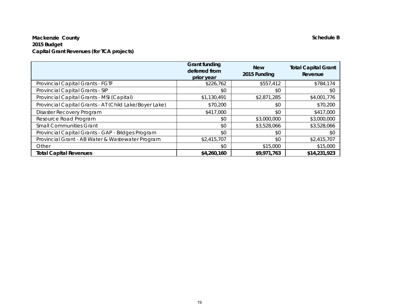### **Mackenzie County Schedule B 2015 Budget Capital Grant Revenues (for TCA projects)**

|                                                        | <b>Grant funding</b><br>deferred from<br>prior year | <b>New</b><br>2015 Funding | <b>Total Capital Grant</b><br>Revenue |
|--------------------------------------------------------|-----------------------------------------------------|----------------------------|---------------------------------------|
| Provincial Capital Grants - FGTF                       | \$226,762                                           | \$557,412                  | \$784,174                             |
| Provincial Capital Grants - SIP                        | \$0                                                 | \$0                        | \$0                                   |
| Provincial Capital Grants - MSI (Capital)              | \$1,130,491                                         | \$2,871,285                | \$4,001,776                           |
| Provincial Capital Grants - AT (Child Lake/Boyer Lake) | \$70,200                                            | \$0                        | \$70,200                              |
| Disaster Recovery Program                              | \$417,000                                           | \$0                        | \$417,000                             |
| Resource Road Program                                  | \$0                                                 | \$3,000,000                | \$3,000,000                           |
| <b>Small Communities Grant</b>                         | \$0                                                 | \$3,528,066                | \$3,528,066                           |
| Provincial Capital Grants - GAP - Bridges Program      | \$0                                                 | \$0                        | \$0                                   |
| Provincial Grant - AB Water & Wastewater Program       | \$2,415,707                                         | \$0                        | \$2,415,707                           |
| Other                                                  | \$0                                                 | \$15,000                   | \$15,000                              |
| <b>Total Capital Revenues</b>                          | \$4,260,160                                         | \$9,971,763                | \$14,231,923                          |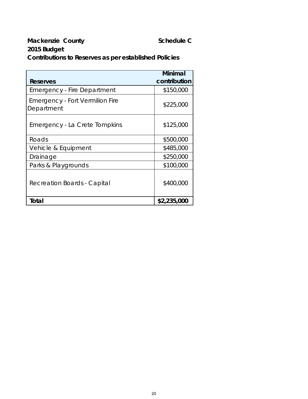### **Mackenzie County Caunty Schedule C 2015 Budget Contributions to Reserves as per established Policies**

|                                                      | <b>Minimal</b> |
|------------------------------------------------------|----------------|
| Reserves                                             | contribution   |
| <b>Emergency - Fire Department</b>                   | \$150,000      |
| <b>Emergency - Fort Vermilion Fire</b><br>Department | \$225,000      |
| Emergency - La Crete Tompkins                        | \$125,000      |
| Roads                                                | \$500,000      |
| Vehicle & Equipment                                  | \$485,000      |
| Drainage                                             | \$250,000      |
| Parks & Playgrounds                                  | \$100,000      |
| Recreation Boards - Capital                          | \$400,000      |
| Total                                                | \$2,235,000    |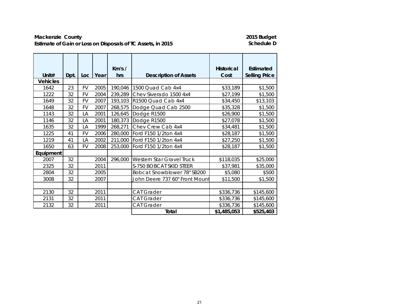### Mackenzie County<br> **Estimate of Gain or Loss on Disposals of TC Assets, in 2015**<br> **Estimate of Gain or Loss on Disposals of TC Assets, in 2015 Estimate of Gain or Loss on Disposals of TC Assets, in 2015**

| Unit#           | Dpt. | Loc.      | Year | Km's/<br>hrs | <b>Description of Assets</b>   | <b>Historical</b><br>Cost | Estimated<br><b>Selling Price</b> |
|-----------------|------|-----------|------|--------------|--------------------------------|---------------------------|-----------------------------------|
| <b>Vehicles</b> |      |           |      |              |                                |                           |                                   |
| 1642            | 23   | FV        | 2005 | 190,046      | 1500 Quad Cab 4x4              | \$33,189                  | \$1,500                           |
| 1222            | 32   | <b>FV</b> | 2004 | 239,289      | Chev Siverado 1500 4x4         | \$27,199                  | \$1,500                           |
| 1649            | 32   | <b>FV</b> | 2007 | 193,103      | R1500 Quad Cab 4x4             | \$34,450                  | \$13,103                          |
| 1648            | 32   | FV        | 2007 | 268,575      | Dodge Quad Cab 2500            | \$35,328                  | \$1,500                           |
| 1143            | 32   | LA        | 2001 | 126,645      | Dodge R1500                    | \$26,900                  | \$1,500                           |
| 1146            | 32   | LA        | 2001 | 180,373      | Dodge R1500                    | \$27,078                  | \$1,500                           |
| 1635            | 32   | LA        | 1999 | 268,271      | Chev Crew Cab 4x4              | \$34,481                  | \$1,500                           |
| 1225            | 41   | FV        | 2006 | 280,000      | Ford F150 1/2ton 4x4           | \$28,187                  | \$1,500                           |
| 1219            | 41   | LA        | 2002 | 211,000      | Ford F150 1/2ton 4x4           | \$27,250                  | \$1,500                           |
| 1650            | 63   | <b>FV</b> | 2008 | 253,000      | Ford F150 1/2ton 4x4           | \$28,187                  | \$1,500                           |
| Equipment       |      |           |      |              |                                |                           |                                   |
| 2007            | 32   |           | 2004 | 296,000      | Western Star Gravel Truck      | \$118,035                 | \$25,000                          |
| 2325            | 32   |           | 2011 |              | S-750 BOBCAT SKID STEER        | \$37,981                  | \$35,000                          |
| 2804            | 32   |           | 2005 |              | Bobcat Snowblower 78" SB200    | \$5,080                   | \$500                             |
| 3008            | 32   |           | 2007 |              | John Deere 737 60" Front Mount | \$11,500                  | \$1,500                           |
|                 |      |           |      |              |                                |                           |                                   |
| 2130            | 32   |           | 2011 |              | <b>CAT Grader</b>              | \$336,736                 | \$145,600                         |
| 2131            | 32   |           | 2011 |              | <b>CAT Grader</b>              | \$336,736                 | \$145,600                         |
| 2132            | 32   |           | 2011 |              | CAT Grader                     | \$336,736                 | \$145,600                         |
|                 |      |           |      |              | Total                          | \$1,485,053               | \$525,403                         |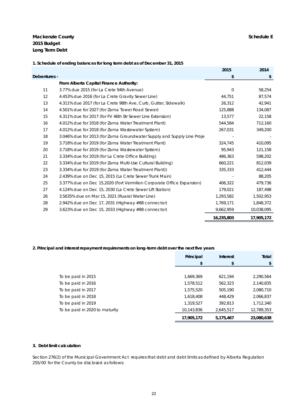#### **Mackenzie County** Schedule E **2015 Budget Long Term Debt**

|              |                                                                        | 2015       | 2014       |
|--------------|------------------------------------------------------------------------|------------|------------|
| Debentures - |                                                                        | \$         | \$         |
|              | From Alberta Capital Finance Authority:                                |            |            |
| 11           | 3.77% due 2015 (for La Crete 94th Avenue)                              | $\Omega$   | 58,254     |
| 12           | 4.453% due 2016 (for La Crete Gravity Sewer Line)                      | 44,751     | 87,574     |
| 13           | 4.311% due 2017 (for La Crete 98th Ave, Curb, Gutter, Sidewalk)        | 26,312     | 42,941     |
| 14           | 4.501% due for 2027 (for Zama Tower Road Sewer)                        | 125,888    | 134,087    |
| 15           | 4.311% due for 2017 (for FV 46th Str Sewer Line Extension)             | 13,577     | 22,158     |
| 16           | 4.012% due for 2018 (for Zama Water Treatment Plant)                   | 544,584    | 712,160    |
| 17           | 4.012% due for 2018 (for Zama Wastewater System)                       | 267,031    | 349,200    |
| 18           | 3.046% due for 2013 (for Zama Groundwater Supply and Supply Line Proje |            |            |
| 19           | 3.718% due for 2019 (for Zama Water Treatment Plant)                   | 324,745    | 410,095    |
| 20           | 3.718% due for 2019 (for Zama Wastewater System)                       | 95,943     | 121,158    |
| 21           | 3.334% due for 2019 (for La Crete Office Building)                     | 486,363    | 598,202    |
| 22           | 3.334% due for 2019 (for Zama Multi-Use Cultural Building)             | 660,221    | 812,039    |
| 23           | 3.334% due for 2019 (for Zama Water Treatment Plant))                  | 335,333    | 412,444    |
| 24           | 2.439% due on Dec 15, 2015 (La Crete Sewer Trunk Main)                 |            | 88,205     |
| 25           | 3.377% due on Dec 15,2020 (Fort Vermilion Corporate Office Expansion)  | 406,322    | 479,736    |
| 27           | 4.124% due on Dec 15, 2030 (La Crete Sewer Lift Station)               | 179,021    | 187,498    |
| 26           | 3.5635% due on Mar 15, 2021 (Ruaral Water Line)                        | 1,293,582  | 1,502,953  |
| 28           | 2.942% due on Dec 17, 2031 (Highway #88 connector)                     | 1,769,171  | 1,848,372  |
| 29           | 3.623% due on Dec 15, 2033 (Highway #88 connector)                     | 9,662,959  | 10,038,095 |
|              |                                                                        | 16,235,803 | 17,905,172 |

#### **1. Schedule of ending balances for long term debt as of December 31, 2015**

#### **2. Principal and interest repayment requirements on long-term debt over the next five years**

|                                | Principal  | Interest  | Total      |
|--------------------------------|------------|-----------|------------|
|                                | \$         | \$        | \$         |
|                                |            |           |            |
| To be paid in 2015             | 1,669,369  | 621,194   | 2.290.564  |
| To be paid in 2016             | 1,578,512  | 562,323   | 2,140,835  |
| To be paid in 2017             | 1,575,520  | 505,190   | 2,080,710  |
| To be paid in 2018             | 1,618,408  | 448,429   | 2,066,837  |
| To be paid in 2019             | 1,319,527  | 392,813   | 1,712,340  |
| To be paid in 2020 to maturity | 10,143,836 | 2,645,517 | 12,789,353 |
|                                | 17,905,172 | 5,175,467 | 23,080,638 |

#### **3. Debt limit calculation**

Section 276(2) of the *Municipal Government Act* requires that debt and debt limits as defined by *Alberta Regulation 255/00* for the County be disclosed as follows: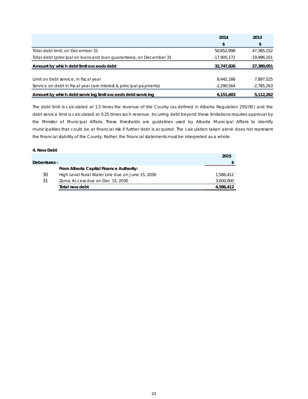|                                                                     | 2014          | 2013          |
|---------------------------------------------------------------------|---------------|---------------|
|                                                                     | \$            | \$            |
| Total debt limit, on December 31                                    | 50,652,998    | 47,385,152    |
| Total debt (principal on loans and loan quarantees), on December 31 | $-17,905,172$ | $-19,996,101$ |
| Amount by which debt limit exceeds debt                             | 32,747,826    | 27,389,051    |
|                                                                     |               |               |
| Limit on debt service, in fiscal year                               | 8.442.166     | 7,897,525     |
| Service on debt in fiscal year (are interest & principal payments)  | $-2.290.564$  | $-2,785,263$  |
| Amount by which debt servicing limit exceeds debt servicing         | 6,151,603     | 5,112,262     |

The debt limit is calculated at 1.5 times the revenue of the County (as defined in *Alberta Regulation 255/00* ) and the debt service limit is calculated at 0.25 times such revenue. Incurring debt beyond these limitations requires approval by the Minister of Municipal Affairs. These thresholds are guidelines used by Alberta Municipal Affairs to identify municipalities that could be at financial risk if further debt is acquired. The calculation taken alone does not represent the financial stability of the County. Rather, the financial statements must be interpreted as a whole.

#### **4. New Debt**

|              |                                                  | 2015      |
|--------------|--------------------------------------------------|-----------|
| Debentures - |                                                  |           |
|              | From Alberta Capital Finance Authority:          |           |
| 30           | High Level Rural Water Line due on June 15, 2030 | 1,586,412 |
| 31           | Zama Access due on Dec 15, 2030                  | 3,000,000 |
|              | Total new debt                                   | 4,586,412 |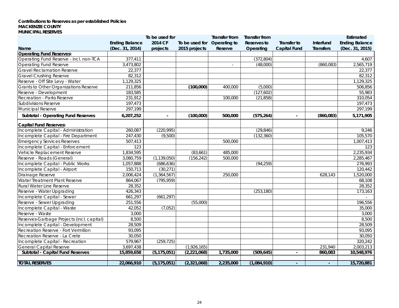#### **Contributions to Reserves as per established Policies MACKENZIE COUNTY MUNICIPAL RESERVES**

|                                           |                       | To be used for |                | Transfer from | <b>Transfer from</b> |                          |                  | Estimated             |
|-------------------------------------------|-----------------------|----------------|----------------|---------------|----------------------|--------------------------|------------------|-----------------------|
|                                           | <b>Ending Balance</b> | 2014 CF        | To be used for | Operating to  | <b>Reserves to</b>   | Transfer to              | Interfund        | <b>Ending Balance</b> |
| Name                                      | (Dec. 31, 2014)       | projects       | 2015 projects  | Reserve       | Operating            | <b>Capital Fund</b>      | <b>Transfers</b> | (Dec. 31, 2015)       |
| <b>Operating Fund Reserves:</b>           |                       |                |                |               |                      |                          |                  |                       |
| Operating Fund Reserve - incl. non-TCA    | 377,411               |                |                |               | (372, 804)           |                          |                  | 4,607                 |
| Operating Fund Reserve                    | 3,473,802             |                |                | $\sim$        | (48,000)             |                          | (860,083)        | 2,565,719             |
| <b>Gravel Reclamation Reserve</b>         | 22,377                |                |                |               |                      |                          |                  | 22,377                |
| <b>Gravel Crushing Reserve</b>            | 82,312                |                |                |               |                      |                          |                  | 82,312                |
| Reserve - Off Site Levy - Water           | 1,129,325             |                |                |               |                      |                          |                  | 1,129,325             |
| Grants to Other Organizations Reserve     | 211,856               |                | (100,000)      | 400,000       | (5,000)              |                          |                  | 506,856               |
| Reserve - Development                     | 183,585               |                |                |               | (127,602)            |                          |                  | 55,983                |
| Recreation - Parks Reserve                | 231,912               |                |                | 100,000       | (21, 858)            |                          |                  | 310,054               |
| <b>Subdivisions Reserve</b>               | 197,473               |                |                |               |                      |                          |                  | 197,473               |
| Municipal Reserve                         | 297,199               |                |                |               |                      |                          |                  | 297,199               |
| <b>Subtotal - Operating Fund Reserves</b> | 6,207,252             |                | (100,000)      | 500,000       | (575, 264)           |                          | (860, 083)       | 5,171,905             |
| <b>Capital Fund Reserves:</b>             |                       |                |                |               |                      |                          |                  |                       |
| Incomplete Capital - Administration       | 260,087               | (220, 995)     |                |               | (29, 846)            |                          |                  | 9,246                 |
| Incomplete Capital - Fire Department      | 247,430               | (9,500)        |                |               | (132, 360)           |                          |                  | 105,570               |
| <b>Emergency Services Reserves</b>        | 507,413               |                |                | 500,000       |                      |                          |                  | 1,007,413             |
| Incomplete Capital - Enforcement          | 123                   |                |                |               |                      |                          |                  | 123                   |
| Vehicle Replacement Reserve               | 1,834,595             |                | (83,661)       | 485,000       |                      |                          |                  | 2,235,934             |
| Reserve - Roads (General)                 | 3,080,759             | (1, 139, 050)  | (156, 242)     | 500,000       |                      |                          |                  | 2,285,467             |
| Incomplete Capital - Public Works         | 1,057,888             | (686, 636)     |                |               | (94, 259)            |                          |                  | 276,993               |
| Incomplete Capital - Airport              | 150,713               | (30, 271)      |                |               |                      |                          |                  | 120,442               |
| Drainage Reserve                          | 2,006,424             | (1, 364, 567)  |                | 250,000       |                      |                          | 628,143          | 1,520,000             |
| Water Treatment Plant Reserve             | 864,067               | (795, 959)     |                |               |                      |                          |                  | 68,108                |
| Rural Water Line Reserve                  | 28,352                |                |                |               |                      |                          |                  | 28,352                |
| Reserve - Water Upgrading                 | 426,343               |                |                |               | (253, 180)           |                          |                  | 173,163               |
| Incomplete Capital - Sewer                | 661,297               | (661, 297)     |                |               |                      |                          |                  |                       |
| Reserve - Sewer Upgrading                 | 251,556               |                | (55,000)       |               |                      |                          |                  | 196,556               |
| Incomplete Capital - Waste                | 42,052                | (7,052)        |                |               |                      |                          |                  | 35,000                |
| Reserve - Waste                           | 3,000                 |                |                |               |                      |                          |                  | 3,000                 |
| Reserves-Garbage Projects (incl. capital) | 8,500                 |                |                |               |                      |                          |                  | 8,500                 |
| Incomplete Capital - Development          | 28,509                |                |                |               |                      |                          |                  | 28,509                |
| Recreation Reserve - Fort Vermilion       | 93.095                |                |                |               |                      |                          |                  | 93,095                |
| Recreation Reserve - La Crete             | 30,050                |                |                |               |                      |                          |                  | 30,050                |
| Incomplete Capital - Recreation           | 579,967               | (259, 725)     |                |               |                      |                          |                  | 320,242               |
| <b>General Capital Reserve</b>            | 3,697,438             |                | (1,926,165)    |               |                      |                          | 231,940          | 2,003,213             |
| Subtotal - Capital Fund Reserves          | 15,859,658            | (5, 175, 051)  | (2, 221, 068)  | 1,735,000     | (509, 645)           | $\overline{\phantom{a}}$ | 860,083          | 10,548,976            |
| <b>TOTAL RESERVES</b>                     | 22,066,910            | (5, 175, 051)  | (2,321,068)    | 2,235,000     | (1,084,910)          | $\sim$                   | $\sim$           | 15,720,881            |
|                                           |                       |                |                |               |                      |                          |                  |                       |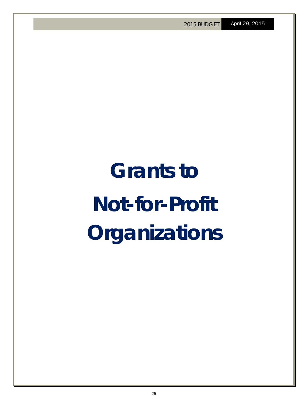# **Grants to Not-for-Profit Organizations**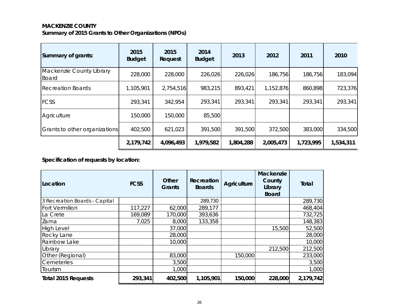### **MACKENZIE COUNTY Summary of 2015 Grants to Other Organizations (NPOs)**

| Summary of grants:                       | 2015<br><b>Budget</b> | 2015<br>Request | 2014<br><b>Budget</b> | 2013      | 2012      | 2011      | 2010      |
|------------------------------------------|-----------------------|-----------------|-----------------------|-----------|-----------|-----------|-----------|
| Mackenzie County Library<br><b>Board</b> | 228,000               | 228,000         | 226,026               | 226,026   | 186,756   | 186,756   | 183,094   |
| <b>Recreation Boards</b>                 | 1,105,901             | 2,754,516       | 983,215               | 893,421   | 1,152,876 | 860,898   | 723,376   |
| <b>FCSS</b>                              | 293,341               | 342,954         | 293,341               | 293,341   | 293,341   | 293,341   | 293,341   |
| Agriculture                              | 150,000               | 150,000         | 85,500                |           |           |           |           |
| Grants to other organizations            | 402,500               | 621,023         | 391,500               | 391,500   | 372,500   | 383,000   | 334,500   |
|                                          | 2,179,742             | 4,096,493       | 1,979,582             | 1,804,288 | 2,005,473 | 1,723,995 | 1,534,311 |

**Specification of requests by location:**

| Location                      | <b>FCSS</b> | Other<br><b>Grants</b> | Recreation<br><b>Boards</b> | <b>Agriculture</b> | Mackenzie<br>County<br>Library<br><b>Board</b> | <b>Total</b> |
|-------------------------------|-------------|------------------------|-----------------------------|--------------------|------------------------------------------------|--------------|
| 3 Recreation Boards - Capital |             |                        | 289,730                     |                    |                                                | 289,730      |
| Fort Vermilion                | 117,227     | 62,000                 | 289,177                     |                    |                                                | 468,404      |
| La Crete                      | 169,089     | 170,000                | 393,636                     |                    |                                                | 732,725      |
| Zama                          | 7,025       | 8,000                  | 133,358                     |                    |                                                | 148,383      |
| <b>High Level</b>             |             | 37,000                 |                             |                    | 15,500                                         | 52,500       |
| Rocky Lane                    |             | 28,000                 |                             |                    |                                                | 28,000       |
| Rainbow Lake                  |             | 10,000                 |                             |                    |                                                | 10,000       |
| Library                       |             |                        |                             |                    | 212,500                                        | 212,500      |
| Other (Regional)              |             | 83,000                 |                             | 150,000            |                                                | 233,000      |
| Cemeteries                    |             | 3,500                  |                             |                    |                                                | 3,500        |
| Tourism                       |             | 1,000                  |                             |                    |                                                | 1,000        |
| <b>Total 2015 Requests</b>    | 293,341     | 402,500                | 1,105,901                   | 150,000            | 228,000                                        | 2,179,742    |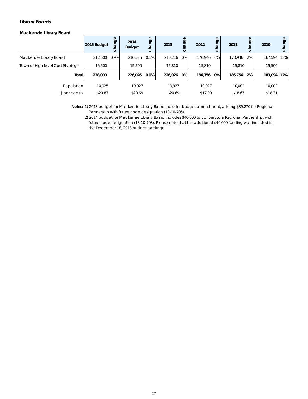#### **Library Boards**

*Mackenzie Library Board*

|                                  | 2015 Budget  | nge | 2014<br><b>Budget</b> | hange<br>$\circ$ | 2013    | ange  | 2012    | ჵ     | 2011       | ange<br>$\circ$ | 2010        | nge<br>ក្ខ<br>ठ |
|----------------------------------|--------------|-----|-----------------------|------------------|---------|-------|---------|-------|------------|-----------------|-------------|-----------------|
| Mackenzie Library Board          | 212.500 0.9% |     | 210.526               | 0.1%             | 210.216 | $0\%$ | 170,946 | $0\%$ | 170.946 2% |                 | 167,594 13% |                 |
| Town of High level Cost Sharing* | 15,500       |     | 15,500                |                  | 15,810  |       | 15,810  |       | 15,810     |                 | 15,500      |                 |
| Total                            | 228,000      |     | 226.026               | $0.0\%$          | 226,026 | 0%    | 186,756 | 0%    | 186,756    | 2%              | 183,094 12% |                 |
| Population                       | 10,925       |     | 10.927                |                  | 10.927  |       | 10.927  |       | 10,002     |                 | 10,002      |                 |
| \$ per capita                    | \$20.87      |     | \$20.69               |                  | \$20.69 |       | \$17.09 |       | \$18.67    |                 | \$18.31     |                 |

**Notes:** 1) 2013 budget for Mackenzie Library Board includes budget amendment, adding \$39,270 for Regional Partnership with future node designation (13-10-705).

2) 2014 budget for Mackenzie Library Board includes \$40,000 to convert to a Regional Partnership, with future node designation (13-10-703). Please note that this additional \$40,000 funding was included in the December 18, 2013 budget package.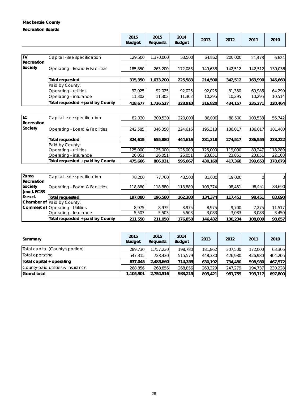### **Mackenzie County**

#### **Recreation Boards**

|     |                    | 2015<br><b>Budget</b> | 2015<br><b>Requests</b> | 2014<br><b>Budget</b> | 2013  | 2012  | 2011   | 2010  |
|-----|--------------------|-----------------------|-------------------------|-----------------------|-------|-------|--------|-------|
|     |                    |                       |                         |                       |       |       |        |       |
| ENI | Capital concretion | 120 $EOM$             | 1.270000                | 52.500                | 61051 | ാവ വെ | 21.170 | 6.621 |

|                                  | 129.500 | 1.370.0001 | 53,500  | 64.862  | 200,000            | 21.478  | 6,624   |
|----------------------------------|---------|------------|---------|---------|--------------------|---------|---------|
|                                  |         |            |         |         |                    |         |         |
| Operating - Board & Facilities   | 185.850 | 263,200    | 172.083 | 149,638 | 142.512            | 142,512 | 139.036 |
|                                  |         |            |         |         |                    |         |         |
| Total requested                  | 315,350 | 633,200    |         | 214,500 | 342,512            | 163.990 | 145,660 |
| Paid by County:                  |         |            |         |         |                    |         |         |
| Operating - utilities            | 92.025  | 92.025     | 92.025  | 92.025  | 81,350             | 60.986  | 64.290  |
| Operating - insurance            | 11,302  | 11,302     | 11.302  | 10.295  | 10.295             | 10.295  | 10,514  |
| Total requested + paid by County | 418,677 | 1,736,527  |         | 316,820 | 434,157            | 235,271 | 220,464 |
|                                  |         |            |         |         | 225,583<br>328,910 |         |         |

| llC.       | Capital - see specification      | 82,030  | 309,530 | 220,000 | 86,000  | 88,500  | 100.538 | 56,742  |
|------------|----------------------------------|---------|---------|---------|---------|---------|---------|---------|
| Recreation |                                  |         |         |         |         |         |         |         |
| Society    | Operating - Board & Facilities   | 242.585 | 346,350 | 224.616 | 195,318 | 186.017 | 186.017 | 181,480 |
|            |                                  |         |         |         |         |         |         |         |
|            | Total requested                  | 324,615 | 655,880 | 444.616 | 281,318 | 274.517 | 286,555 | 238,222 |
|            | Paid by County:                  |         |         |         |         |         |         |         |
|            | Operating - utilities            | 125,000 | 125,000 | 125,000 | 125,000 | 119,000 | 89.247  | 118,289 |
|            | Operating - insurance            | 26,051  | 26,051  | 26,051  | 23,851  | 23,851  | 23,851  | 22,168  |
|            | Total requested + paid by County | 475.666 | 806.931 | 595.667 | 430.169 | 417,368 | 399.653 | 378,679 |

| Zama<br>Recreation | Capital - see specification            | 78,200  | 77,700  | 43,500  | 31,000  | 19,000  |         | 0      |
|--------------------|----------------------------------------|---------|---------|---------|---------|---------|---------|--------|
| Society            | Operating - Board & Facilities         | 118,880 | 118,880 | 18.880  | 103,374 | 98.451  | 98.451  | 83,690 |
| (excl. FCSS)       |                                        |         |         |         |         |         |         |        |
| & excl.            | Total requested                        | 197.080 | 196,580 | 162,380 | 134,374 | 117,451 | 98,451  | 83,690 |
|                    | Chamber of Paid by County:             |         |         |         |         |         |         |        |
|                    | <b>Commerce)</b> Operating - Utilities | 8.975   | 8.975   | 8.975   | 8.975   | 9.700   | 7.275   | 11,517 |
|                    | Operating - Insurance                  | 5,503   | 5,503   | 5,503   | 3,083   | 3.083   | 3,083   | 3,450  |
|                    | Total requested + paid by County       | 211,558 | 211,058 | 176,858 | 146,432 | 130,234 | 108,809 | 98,657 |

| Summary                           | 2015<br><b>Budget</b> | 2015<br><b>Requests</b> | 2014<br><b>Budget</b> | 2013    | 2012    | 2011    | 2010    |
|-----------------------------------|-----------------------|-------------------------|-----------------------|---------|---------|---------|---------|
| Total capital (County's portion)  | 289.730               | 1,757,230               | 198.780               | 181,862 | 307.500 | 172,000 | 63,366  |
| Total operating                   | 547.315               | 728,430                 | 515,579               | 448,330 | 426.980 | 426,980 | 404,206 |
| Total capital + operating         | 837.045               | 2,485,660               | 714.359               | 630.192 | 734,480 | 598,980 | 467,572 |
| County-paid utilities & insurance | 268.856               | 268,856                 | 268.856               | 263.229 | 247.279 | 194,737 | 230,228 |
| <b>Grand total</b>                | 1.105.901l            | 2.754.516               | 983,215               | 893,421 | 981.759 | 793.717 | 697,800 |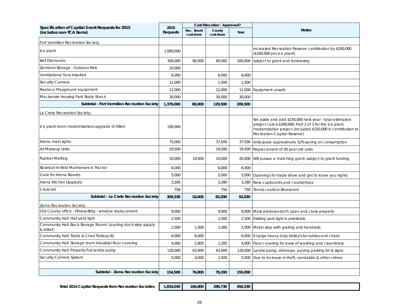| Specification of Capital Grant Requests for 2015                         | 2015            |                          | <b>Cost Allocation - Approved?</b> |         |                                                                                                                                                                                                                    |  |
|--------------------------------------------------------------------------|-----------------|--------------------------|------------------------------------|---------|--------------------------------------------------------------------------------------------------------------------------------------------------------------------------------------------------------------------|--|
| (includes non-TCA items)                                                 | <b>Requests</b> | Rec. Board<br>cost share | County<br>cost share               | Total   | <b>Notes</b>                                                                                                                                                                                                       |  |
| Fort Vermilion Recreation Society:                                       |                 |                          |                                    |         |                                                                                                                                                                                                                    |  |
| Ice plant                                                                | 1,000,000       |                          |                                    |         | increased Recreation Reserve contribution by \$200,000<br>(\$100,000 per ice plant)                                                                                                                                |  |
| <b>Ball Diamonds</b>                                                     | 300,000         | 80,000                   | 80,000                             | 160,000 | subject to grant and fundrasing                                                                                                                                                                                    |  |
| Zamboni Storage - Outdoor Rink                                           | 10,000          |                          |                                    |         |                                                                                                                                                                                                                    |  |
| Ventilations/ fans installed                                             | 6,000           |                          | 6,000                              | 6,000   |                                                                                                                                                                                                                    |  |
| Security Camera                                                          | 12,000          |                          | 1,500                              | 1,500   |                                                                                                                                                                                                                    |  |
| Replace Playground equipment                                             | 12,000          |                          | 12,000                             | 12,000  | Equipment unsafe                                                                                                                                                                                                   |  |
| Mackenzie Housing Park Skate Shack                                       | 30,000          |                          | 30,000                             | 30,000  |                                                                                                                                                                                                                    |  |
| Subtotal - Fort Vermilion Recreation Society                             | 1,370,000       | 80,000                   | 129,500                            | 209,500 |                                                                                                                                                                                                                    |  |
| La Crete Recreation Society:                                             |                 |                          |                                    |         |                                                                                                                                                                                                                    |  |
| Ice plant room modernization/upgrade (Chiller)                           | 190.000         |                          |                                    |         | Set aside and add \$150,000 next year - total estimated<br>project cost is \$300,000. Part 2 of 3 for the ice plant<br>modernization project (included \$150,000 in contribution to<br>Recreation Capital Reserve) |  |
| Arena main lights                                                        | 75,000          |                          | 37,500                             | 37,500  | Anticipate approximate 52% saving on consumption                                                                                                                                                                   |  |
| Air Makeup Units                                                         | 19,500          |                          | 19,500                             | 19,500  | Replacement of 30 year old units                                                                                                                                                                                   |  |
| <b>Rubber Matting</b>                                                    | 10,000          | 10,000                   | 10,000                             | 20,000  | Will pursue a matching grant; subject to grant funding                                                                                                                                                             |  |
| Baseball In-field Maintenance Tractor                                    | 6,000           |                          | 6,000                              | 6,000   |                                                                                                                                                                                                                    |  |
| Gate for Arena Boards                                                    | 5,000           |                          | 5,000                              | 5,000   | Openings for trade show and get to know you nights                                                                                                                                                                 |  |
| Arena Kitchen Upgrade                                                    | 3,280           |                          | 3,280                              | 3,280   | New cupboards and countertops                                                                                                                                                                                      |  |
| Cross net                                                                | 750             |                          | 750                                | 750     | Tennis courts in Blumenort                                                                                                                                                                                         |  |
| Subtotal - La Crete Recreation Society                                   | 309,530         | 10,000                   | 82,030                             | 92,030  |                                                                                                                                                                                                                    |  |
| Zama Recreation Society:                                                 |                 |                          |                                    |         |                                                                                                                                                                                                                    |  |
| Old County office - Fitness Bldg - window replacement                    | 9,000           |                          | 9,000                              | 9,000   | Most windows don't open and close properly                                                                                                                                                                         |  |
| Community Hall: Hall yard light                                          | 2,500           |                          | 2,500                              | 2,500   | Existing yard light is unreliable                                                                                                                                                                                  |  |
| Community Hall: Back Storage Room/ Loading dock step supply<br>& install | 2,000           | 1,000                    | 1,000                              | 2,000   | Metal step with grating and handrails                                                                                                                                                                              |  |
| Community Hall: Table & Chair Trolleys (6)                               | 6,000           | 6,000                    |                                    | 6,000   | 6 Large heavy duty trolley's for tables and chairs                                                                                                                                                                 |  |
| Community Hall: Storage room industrial floor covering                   | 4,000           | 2,800                    | 1,200                              | 4,000   | Floor covering for ease of washing and cleanliness                                                                                                                                                                 |  |
| Community Hall: Property Full landscaping                                | 126,000         | 63,000                   | 63,000                             | 126,000 | Landscaping, drainage, paving parking lot & signs                                                                                                                                                                  |  |
| Security Camera System                                                   | 5,000           | 4,000                    | 1,500                              | 5,500   | Due to increase in theft, vandalism & other crimes                                                                                                                                                                 |  |
|                                                                          |                 |                          |                                    |         |                                                                                                                                                                                                                    |  |
| Subtotal - Zama Recreation Society                                       | 154,500         | 76,800                   | 78,200                             | 155,000 |                                                                                                                                                                                                                    |  |

**Total 2014 Capital Requests from Recreation Societies 1,834,030 166,800 289,730 456,530**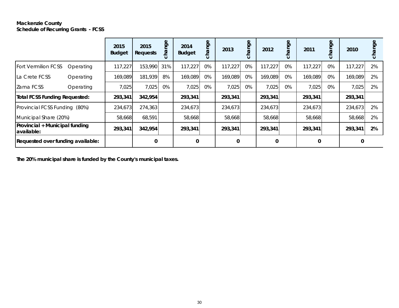#### **Mackenzie County Schedule of Recurring Grants - FCSS**

|                                               |           | 2015<br><b>Budget</b> | 2015<br><b>Requests</b> | Φ<br>ğ<br>cha | 2014<br><b>Budget</b> | Φ<br>ğ<br><b>BJ</b><br>ပ | 2013         | Φ<br>gue | 2012    | hange<br>$\circ$ | 2011         | Φ<br>hang<br>$\circ$ | 2010    | nge<br>$\circ$ |
|-----------------------------------------------|-----------|-----------------------|-------------------------|---------------|-----------------------|--------------------------|--------------|----------|---------|------------------|--------------|----------------------|---------|----------------|
| <b>Fort Vermilion FCSS</b>                    | Operating | 117,227               | 153,990                 | 31%           | 117,227               | 0%                       | 117,227      | 0%       | 117,227 | 0%               | 117,227      | 0%                   | 117,227 | 2%             |
| La Crete FCSS                                 | Operating | 169,089               | 181,939                 | 8%            | 169,089               | 0%                       | 169,089      | 0%       | 169,089 | 0%               | 169,089      | 0%                   | 169,089 | 2%             |
| Zama FCSS                                     | Operating | 7,025                 | 7,025                   | 0%            | 7,025                 | 0%                       | 7,025        | 0%       | 7,025   | $0\%$            | 7,025        | 0%                   | 7,025   | 2%             |
| Total FCSS Funding Requested:                 |           | 293,341               | 342,954                 |               | 293,341               |                          | 293,341      |          | 293,341 |                  | 293,341      |                      | 293,341 |                |
| Provincial FCSS Funding (80%)                 |           | 234,673               | 274,363                 |               | 234,673               |                          | 234,673      |          | 234,673 |                  | 234,673      |                      | 234,673 | 2%             |
| Municipal Share (20%)                         |           | 58,668                | 68,591                  |               | 58,668                |                          | 58,668       |          | 58,668  |                  | 58,668       |                      | 58,668  | 2%             |
| Provincial + Municipal funding<br>lavailable: |           | 293,341               | 342,954                 |               | 293,341               |                          | 293,341      |          | 293,341 |                  | 293,341      |                      | 293,341 | 2%             |
| Requested over funding available:             |           |                       | 0                       |               | 0                     |                          | $\mathbf{0}$ |          | 0       |                  | $\mathbf{0}$ |                      | 0       |                |

**The 20% municipal share is funded by the County's municipal taxes.**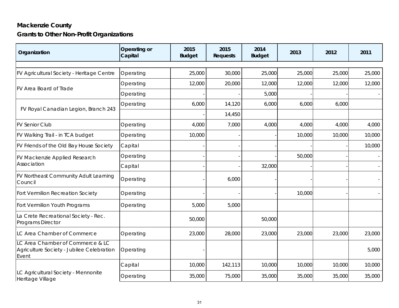### **Mackenzie County Grants to Other Non-Profit Organizations**

| Organization                                                                           | Operating or<br>Capital | 2015<br><b>Budget</b> | 2015<br><b>Requests</b> | 2014<br><b>Budget</b> | 2013   | 2012   | 2011   |
|----------------------------------------------------------------------------------------|-------------------------|-----------------------|-------------------------|-----------------------|--------|--------|--------|
|                                                                                        |                         |                       |                         |                       |        |        |        |
| FV Agricultural Society - Heritage Centre                                              | Operating               | 25,000                | 30,000                  | 25,000                | 25,000 | 25,000 | 25,000 |
| FV Area Board of Trade                                                                 | Operating               | 12,000                | 20,000                  | 12,000                | 12,000 | 12,000 | 12,000 |
|                                                                                        | Operating               |                       |                         | 5,000                 |        |        |        |
|                                                                                        | Operating               | 6,000                 | 14,120                  | 6,000                 | 6,000  | 6,000  |        |
| FV Royal Canadian Legion, Branch 243                                                   |                         |                       | 14,450                  |                       |        |        |        |
| <b>FV Senior Club</b>                                                                  | Operating               | 4,000                 | 7,000                   | 4,000                 | 4,000  | 4,000  | 4,000  |
| FV Walking Trail - in TCA budget                                                       | Operating               | 10,000                |                         |                       | 10,000 | 10,000 | 10,000 |
| FV Friends of the Old Bay House Society                                                | Capital                 |                       |                         |                       |        |        | 10,000 |
| FV Mackenzie Applied Research                                                          | Operating               |                       |                         |                       | 50,000 |        |        |
| Association                                                                            | Capital                 |                       |                         | 32,000                |        |        |        |
| FV Northeast Community Adult Learning<br>Council                                       | Operating               |                       | 6,000                   |                       |        |        |        |
| Fort Vermilion Recreation Society                                                      | Operating               |                       |                         |                       | 10,000 |        |        |
| Fort Vermilion Youth Programs                                                          | Operating               | 5,000                 | 5,000                   |                       |        |        |        |
| La Crete Recreational Society - Rec.<br>Programs Director                              |                         | 50,000                |                         | 50,000                |        |        |        |
| LC Area Chamber of Commerce                                                            | Operating               | 23,000                | 28,000                  | 23,000                | 23,000 | 23,000 | 23,000 |
| LC Area Chamber of Commerce & LC<br>Agriculture Society - Jubilee Celebration<br>Event | Operating               |                       |                         |                       |        |        | 5,000  |
|                                                                                        | Capital                 | 10,000                | 142,113                 | 10,000                | 10,000 | 10,000 | 10,000 |
| LC Agricultural Society - Mennonite<br>Heritage Village                                | Operating               | 35,000                | 75,000                  | 35,000                | 35,000 | 35,000 | 35,000 |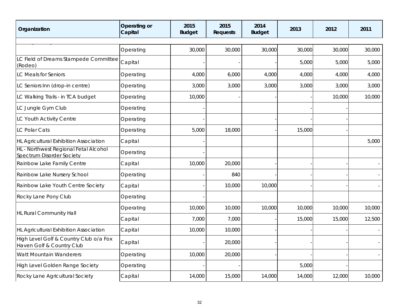| Organization                                                              | Operating or<br>Capital | 2015<br><b>Budget</b> | 2015<br><b>Requests</b> | 2014<br><b>Budget</b> | 2013   | 2012   | 2011   |
|---------------------------------------------------------------------------|-------------------------|-----------------------|-------------------------|-----------------------|--------|--------|--------|
|                                                                           |                         |                       |                         |                       |        |        |        |
|                                                                           | Operating               | 30,000                | 30,000                  | 30,000                | 30,000 | 30,000 | 30,000 |
| LC Field of Dreams Stampede Committee<br>(Rodeo)                          | Capital                 |                       |                         |                       | 5,000  | 5,000  | 5,000  |
| LC Meals for Seniors                                                      | Operating               | 4,000                 | 6,000                   | 4,000                 | 4,000  | 4,000  | 4,000  |
| LC Seniors Inn (drop-in centre)                                           | Operating               | 3,000                 | 3,000                   | 3,000                 | 3,000  | 3,000  | 3,000  |
| LC Walking Trails - in TCA budget                                         | Operating               | 10,000                |                         |                       |        | 10,000 | 10,000 |
| LC Jungle Gym Club                                                        | Operating               |                       |                         |                       |        |        |        |
| LC Youth Activity Centre                                                  | Operating               |                       |                         |                       |        |        |        |
| <b>LC Polar Cats</b>                                                      | Operating               | 5,000                 | 18,000                  |                       | 15,000 |        |        |
| <b>HL Agricultural Exhibition Association</b>                             | Capital                 |                       |                         |                       |        |        | 5,000  |
| HL - Northwest Regional Fetal Alcohol<br><b>Spectrum Disorder Society</b> | Operating               |                       |                         |                       |        |        |        |
| Rainbow Lake Family Centre                                                | Capital                 | 10,000                | 20,000                  |                       |        |        |        |
| Rainbow Lake Nursery School                                               | Operating               |                       | 840                     |                       |        |        |        |
| Rainbow Lake Youth Centre Society                                         | Capital                 |                       | 10,000                  | 10,000                |        |        |        |
| Rocky Lane Pony Club                                                      | Operating               |                       |                         |                       |        |        |        |
|                                                                           | Operating               | 10,000                | 10,000                  | 10,000                | 10,000 | 10,000 | 10,000 |
| HL Rural Community Hall                                                   | Capital                 | 7,000                 | 7,000                   |                       | 15,000 | 15,000 | 12,500 |
| HL Agricultural Exhibition Association                                    | Capital                 | 10,000                | 10,000                  |                       |        |        |        |
| High Level Golf & Country Club o/a Fox<br>Haven Golf & Country Club       | Capital                 |                       | 20,000                  |                       |        |        |        |
| Watt Mountain Wanderers                                                   | Operating               | 10,000                | 20,000                  |                       |        |        |        |
| High Level Golden Range Society                                           | Operating               |                       |                         |                       | 5,000  |        |        |
| Rocky Lane Agricultural Society                                           | Capital                 | 14,000                | 15,000                  | 14,000                | 14,000 | 12,000 | 10,000 |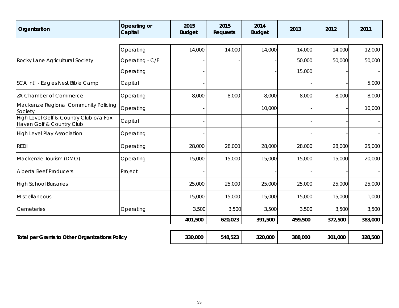| Organization                                                        | Operating or<br>Capital | 2015<br><b>Budget</b> | 2015<br><b>Requests</b> | 2014<br><b>Budget</b> | 2013    | 2012    | 2011    |
|---------------------------------------------------------------------|-------------------------|-----------------------|-------------------------|-----------------------|---------|---------|---------|
|                                                                     |                         |                       |                         |                       |         |         |         |
|                                                                     | Operating               | 14,000                | 14,000                  | 14,000                | 14,000  | 14,000  | 12,000  |
| Rocky Lane Agricultural Society                                     | Operating - C/F         |                       |                         |                       | 50,000  | 50,000  | 50,000  |
|                                                                     | Operating               |                       |                         |                       | 15,000  |         |         |
| SCA Int'l - Eagles Nest Bible Camp                                  | Capital                 |                       |                         |                       |         |         | 5,000   |
| ZA Chamber of Commerce                                              | Operating               | 8,000                 | 8,000                   | 8,000                 | 8,000   | 8,000   | 8,000   |
| Mackenzie Regional Community Policing<br>Society                    | Operating               |                       |                         | 10,000                |         |         | 10,000  |
| High Level Golf & Country Club o/a Fox<br>Haven Golf & Country Club | Capital                 |                       |                         |                       |         |         |         |
| <b>High Level Play Association</b>                                  | Operating               |                       |                         |                       |         |         |         |
| <b>REDI</b>                                                         | Operating               | 28,000                | 28,000                  | 28,000                | 28,000  | 28,000  | 25,000  |
| Mackenzie Tourism (DMO)                                             | Operating               | 15,000                | 15,000                  | 15,000                | 15,000  | 15,000  | 20,000  |
| Alberta Beef Producers                                              | Project                 |                       |                         |                       |         |         |         |
| <b>High School Bursaries</b>                                        |                         | 25,000                | 25,000                  | 25,000                | 25,000  | 25,000  | 25,000  |
| Miscellaneous                                                       |                         | 15,000                | 15,000                  | 15,000                | 15,000  | 15,000  | 1,000   |
| Cemeteries                                                          | Operating               | 3,500                 | 3,500                   | 3,500                 | 3,500   | 3,500   | 3,500   |
|                                                                     |                         | 401,500               | 620,023                 | 391,500               | 459,500 | 372,500 | 383,000 |
| <b>Total per Grants to Other Organizations Policy</b>               |                         | 330,000               | 548,523                 | 320,000               | 388,000 | 301,000 | 328,500 |